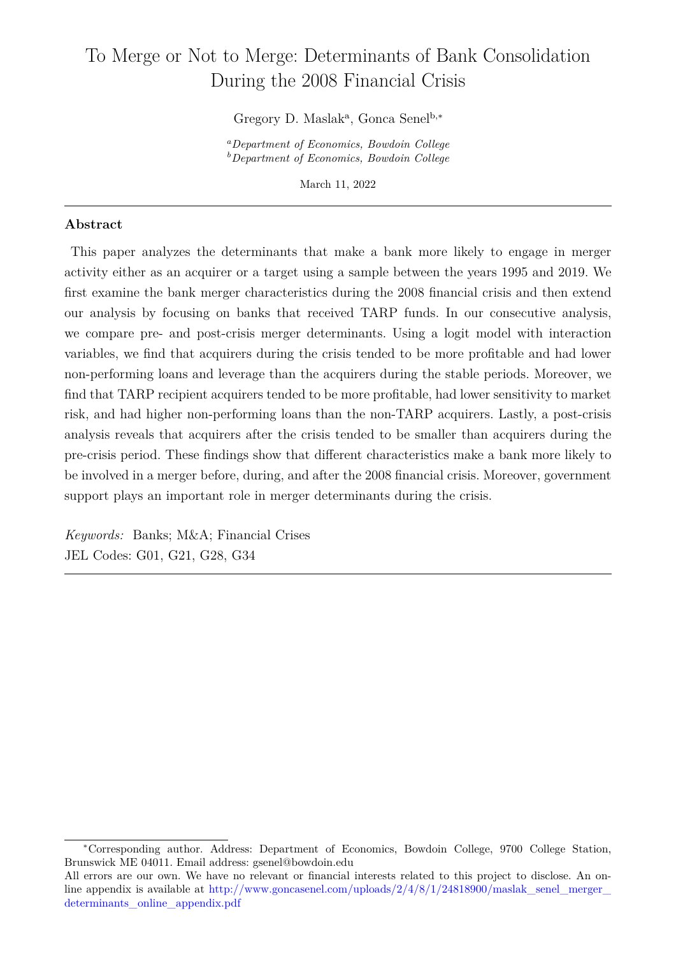# To Merge or Not to Merge: Determinants of Bank Consolidation During the 2008 Financial Crisis

Gregory D. Maslak<sup>a</sup>, Gonca Senel<sup>b,\*</sup>

*<sup>a</sup>Department of Economics, Bowdoin College <sup>b</sup>Department of Economics, Bowdoin College*

March 11, 2022

#### **Abstract**

This paper analyzes the determinants that make a bank more likely to engage in merger activity either as an acquirer or a target using a sample between the years 1995 and 2019. We first examine the bank merger characteristics during the 2008 financial crisis and then extend our analysis by focusing on banks that received TARP funds. In our consecutive analysis, we compare pre- and post-crisis merger determinants. Using a logit model with interaction variables, we find that acquirers during the crisis tended to be more profitable and had lower non-performing loans and leverage than the acquirers during the stable periods. Moreover, we find that TARP recipient acquirers tended to be more profitable, had lower sensitivity to market risk, and had higher non-performing loans than the non-TARP acquirers. Lastly, a post-crisis analysis reveals that acquirers after the crisis tended to be smaller than acquirers during the pre-crisis period. These findings show that different characteristics make a bank more likely to be involved in a merger before, during, and after the 2008 financial crisis. Moreover, government support plays an important role in merger determinants during the crisis.

*Keywords:* Banks; M&A; Financial Crises JEL Codes: G01, G21, G28, G34

<sup>∗</sup>Corresponding author. Address: Department of Economics, Bowdoin College, 9700 College Station, Brunswick ME 04011. Email address: gsenel@bowdoin.edu

All errors are our own. We have no relevant or financial interests related to this project to disclose. An online appendix is available at [http://www.goncasenel.com/uploads/2/4/8/1/24818900/maslak\\_senel\\_merger\\_](http://www.goncasenel.com/uploads/2/4/8/1/24818900/maslak_senel_merger_determinants_online_appendix.pdf) [determinants\\_online\\_appendix.pdf](http://www.goncasenel.com/uploads/2/4/8/1/24818900/maslak_senel_merger_determinants_online_appendix.pdf)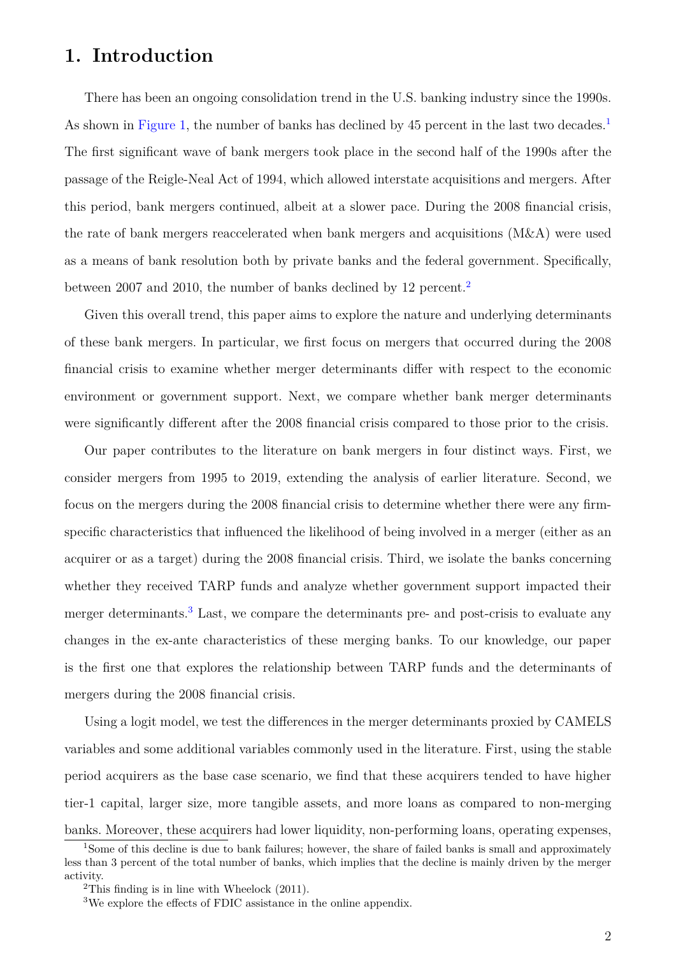## **1. Introduction**

There has been an ongoing consolidation trend in the U.S. banking industry since the 1990s. As shown in Figure 1, the number of banks has declined by 45 percent in the last two decades.<sup>1</sup> The first significant wave of bank mergers took place in the second half of the 1990s after the passage of the Reigle-Neal Act of 1994, which allowed interstate acquisitions and mergers. After this period, bank mergers continued, albeit at a slower pace. During the 2008 financial crisis, the rate of bank mergers reaccelerated when bank mergers and acquisitions (M&A) were used as a means of bank resolution both by private banks and the federal government. Specifically, between 2007 and 2010, the number of banks declined by 12 percent.2

Given this overall trend, this paper aims to explore the nature and underlying determinants of these bank mergers. In particular, we first focus on mergers that occurred during the 2008 financial crisis to examine whether merger determinants differ with respect to the economic environment or government support. Next, we compare whether bank merger determinants were significantly different after the 2008 financial crisis compared to those prior to the crisis.

Our paper contributes to the literature on bank mergers in four distinct ways. First, we consider mergers from 1995 to 2019, extending the analysis of earlier literature. Second, we focus on the mergers during the 2008 financial crisis to determine whether there were any firmspecific characteristics that influenced the likelihood of being involved in a merger (either as an acquirer or as a target) during the 2008 financial crisis. Third, we isolate the banks concerning whether they received TARP funds and analyze whether government support impacted their merger determinants.<sup>3</sup> Last, we compare the determinants pre- and post-crisis to evaluate any changes in the ex-ante characteristics of these merging banks. To our knowledge, our paper is the first one that explores the relationship between TARP funds and the determinants of mergers during the 2008 financial crisis.

Using a logit model, we test the differences in the merger determinants proxied by CAMELS variables and some additional variables commonly used in the literature. First, using the stable period acquirers as the base case scenario, we find that these acquirers tended to have higher tier-1 capital, larger size, more tangible assets, and more loans as compared to non-merging banks. Moreover, these acquirers had lower liquidity, non-performing loans, operating expenses,

<sup>&</sup>lt;sup>1</sup>Some of this decline is due to bank failures; however, the share of failed banks is small and approximately less than 3 percent of the total number of banks, which implies that the decline is mainly driven by the merger activity.

<sup>&</sup>lt;sup>2</sup>This finding is in line with Wheelock  $(2011)$ .

<sup>3</sup>We explore the effects of FDIC assistance in the online appendix.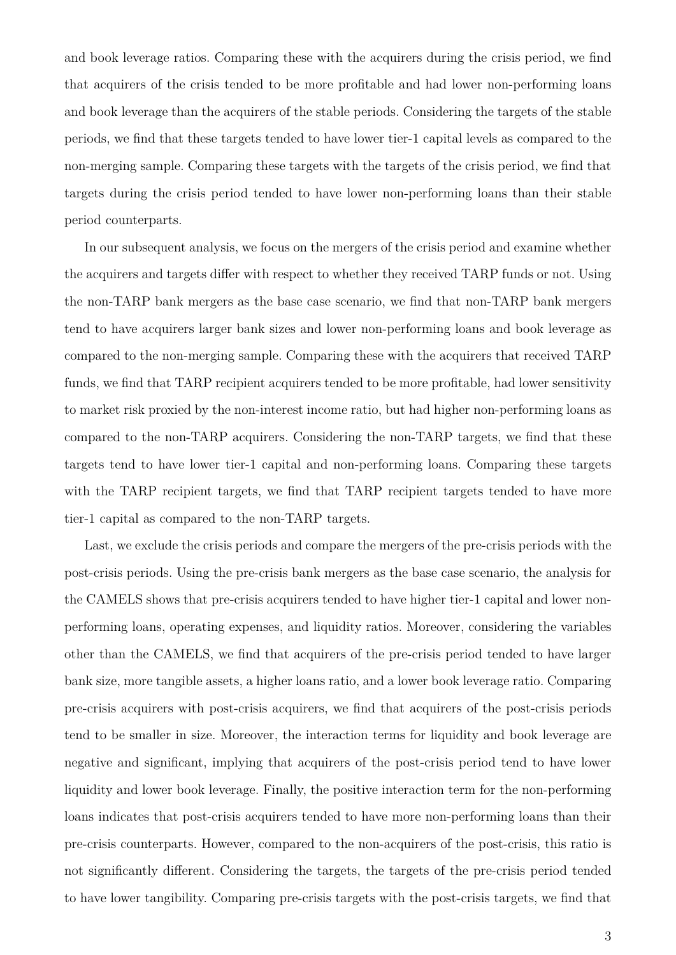and book leverage ratios. Comparing these with the acquirers during the crisis period, we find that acquirers of the crisis tended to be more profitable and had lower non-performing loans and book leverage than the acquirers of the stable periods. Considering the targets of the stable periods, we find that these targets tended to have lower tier-1 capital levels as compared to the non-merging sample. Comparing these targets with the targets of the crisis period, we find that targets during the crisis period tended to have lower non-performing loans than their stable period counterparts.

In our subsequent analysis, we focus on the mergers of the crisis period and examine whether the acquirers and targets differ with respect to whether they received TARP funds or not. Using the non-TARP bank mergers as the base case scenario, we find that non-TARP bank mergers tend to have acquirers larger bank sizes and lower non-performing loans and book leverage as compared to the non-merging sample. Comparing these with the acquirers that received TARP funds, we find that TARP recipient acquirers tended to be more profitable, had lower sensitivity to market risk proxied by the non-interest income ratio, but had higher non-performing loans as compared to the non-TARP acquirers. Considering the non-TARP targets, we find that these targets tend to have lower tier-1 capital and non-performing loans. Comparing these targets with the TARP recipient targets, we find that TARP recipient targets tended to have more tier-1 capital as compared to the non-TARP targets.

Last, we exclude the crisis periods and compare the mergers of the pre-crisis periods with the post-crisis periods. Using the pre-crisis bank mergers as the base case scenario, the analysis for the CAMELS shows that pre-crisis acquirers tended to have higher tier-1 capital and lower nonperforming loans, operating expenses, and liquidity ratios. Moreover, considering the variables other than the CAMELS, we find that acquirers of the pre-crisis period tended to have larger bank size, more tangible assets, a higher loans ratio, and a lower book leverage ratio. Comparing pre-crisis acquirers with post-crisis acquirers, we find that acquirers of the post-crisis periods tend to be smaller in size. Moreover, the interaction terms for liquidity and book leverage are negative and significant, implying that acquirers of the post-crisis period tend to have lower liquidity and lower book leverage. Finally, the positive interaction term for the non-performing loans indicates that post-crisis acquirers tended to have more non-performing loans than their pre-crisis counterparts. However, compared to the non-acquirers of the post-crisis, this ratio is not significantly different. Considering the targets, the targets of the pre-crisis period tended to have lower tangibility. Comparing pre-crisis targets with the post-crisis targets, we find that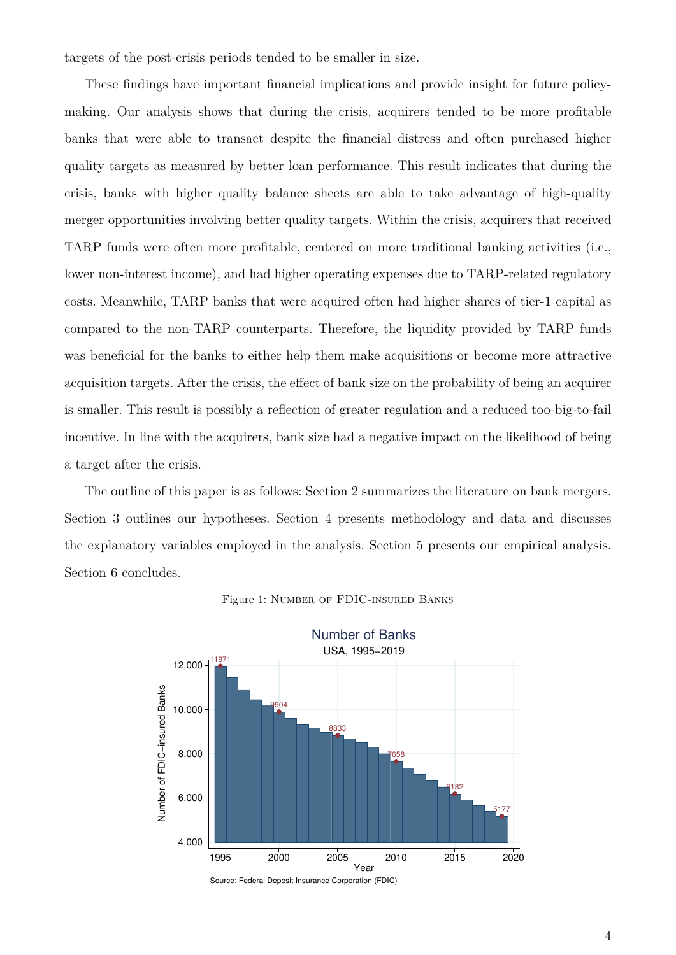targets of the post-crisis periods tended to be smaller in size.

These findings have important financial implications and provide insight for future policymaking. Our analysis shows that during the crisis, acquirers tended to be more profitable banks that were able to transact despite the financial distress and often purchased higher quality targets as measured by better loan performance. This result indicates that during the crisis, banks with higher quality balance sheets are able to take advantage of high-quality merger opportunities involving better quality targets. Within the crisis, acquirers that received TARP funds were often more profitable, centered on more traditional banking activities (i.e., lower non-interest income), and had higher operating expenses due to TARP-related regulatory costs. Meanwhile, TARP banks that were acquired often had higher shares of tier-1 capital as compared to the non-TARP counterparts. Therefore, the liquidity provided by TARP funds was beneficial for the banks to either help them make acquisitions or become more attractive acquisition targets. After the crisis, the effect of bank size on the probability of being an acquirer is smaller. This result is possibly a reflection of greater regulation and a reduced too-big-to-fail incentive. In line with the acquirers, bank size had a negative impact on the likelihood of being a target after the crisis.

The outline of this paper is as follows: Section 2 summarizes the literature on bank mergers. Section 3 outlines our hypotheses. Section 4 presents methodology and data and discusses the explanatory variables employed in the analysis. Section 5 presents our empirical analysis. Section 6 concludes.



Figure 1: Number of FDIC-insured Banks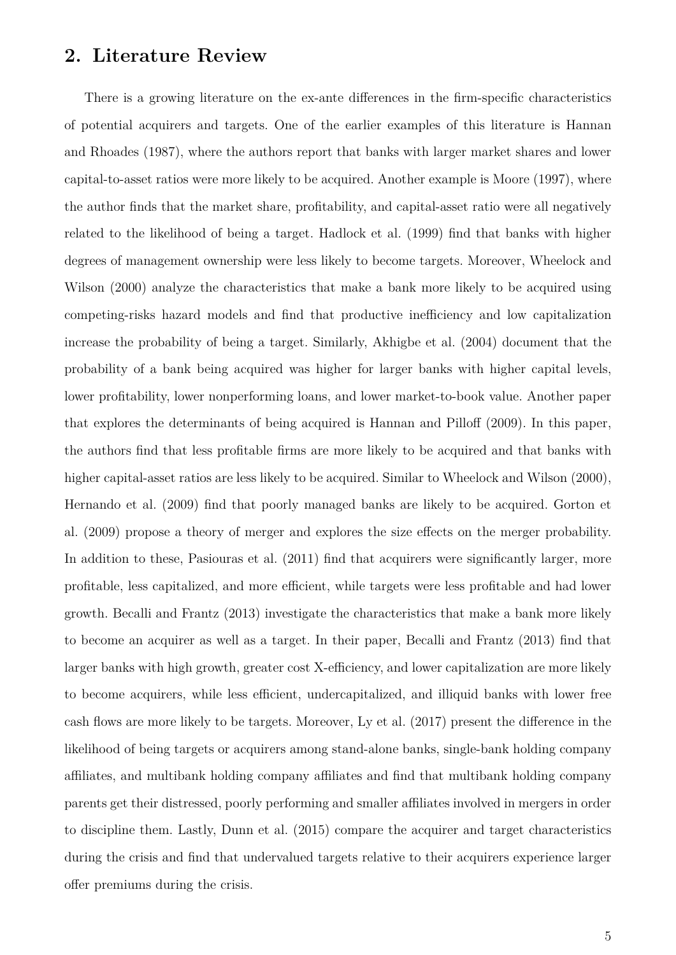## **2. Literature Review**

There is a growing literature on the ex-ante differences in the firm-specific characteristics of potential acquirers and targets. One of the earlier examples of this literature is Hannan and Rhoades (1987), where the authors report that banks with larger market shares and lower capital-to-asset ratios were more likely to be acquired. Another example is Moore (1997), where the author finds that the market share, profitability, and capital-asset ratio were all negatively related to the likelihood of being a target. Hadlock et al. (1999) find that banks with higher degrees of management ownership were less likely to become targets. Moreover, Wheelock and Wilson (2000) analyze the characteristics that make a bank more likely to be acquired using competing-risks hazard models and find that productive inefficiency and low capitalization increase the probability of being a target. Similarly, Akhigbe et al. (2004) document that the probability of a bank being acquired was higher for larger banks with higher capital levels, lower profitability, lower nonperforming loans, and lower market-to-book value. Another paper that explores the determinants of being acquired is Hannan and Pilloff (2009). In this paper, the authors find that less profitable firms are more likely to be acquired and that banks with higher capital-asset ratios are less likely to be acquired. Similar to Wheelock and Wilson (2000), Hernando et al. (2009) find that poorly managed banks are likely to be acquired. Gorton et al. (2009) propose a theory of merger and explores the size effects on the merger probability. In addition to these, Pasiouras et al. (2011) find that acquirers were significantly larger, more profitable, less capitalized, and more efficient, while targets were less profitable and had lower growth. Becalli and Frantz (2013) investigate the characteristics that make a bank more likely to become an acquirer as well as a target. In their paper, Becalli and Frantz (2013) find that larger banks with high growth, greater cost X-efficiency, and lower capitalization are more likely to become acquirers, while less efficient, undercapitalized, and illiquid banks with lower free cash flows are more likely to be targets. Moreover, Ly et al. (2017) present the difference in the likelihood of being targets or acquirers among stand-alone banks, single-bank holding company affiliates, and multibank holding company affiliates and find that multibank holding company parents get their distressed, poorly performing and smaller affiliates involved in mergers in order to discipline them. Lastly, Dunn et al. (2015) compare the acquirer and target characteristics during the crisis and find that undervalued targets relative to their acquirers experience larger offer premiums during the crisis.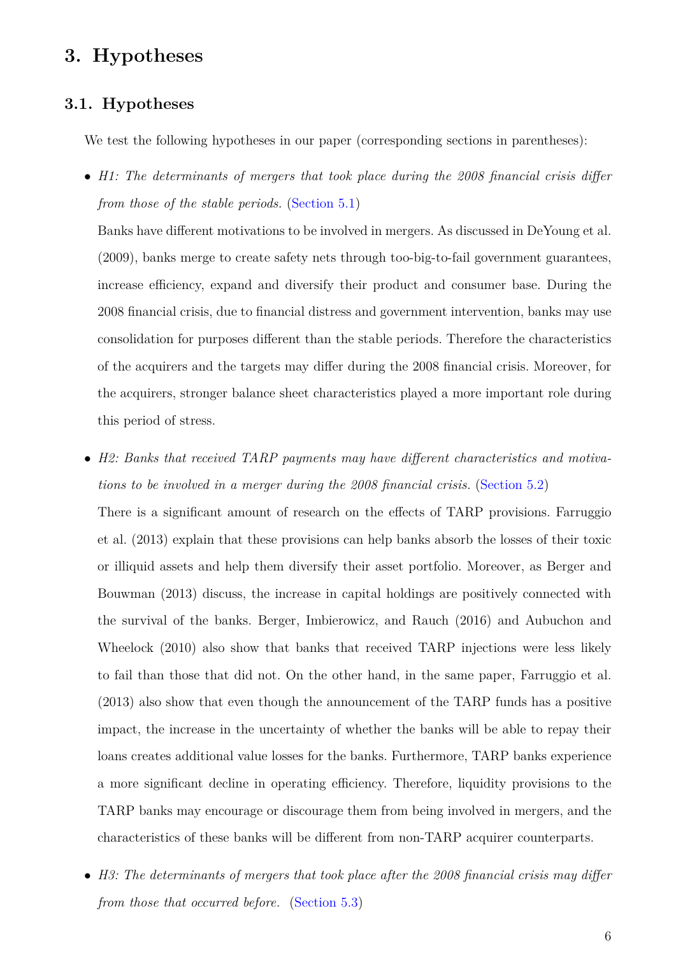# **3. Hypotheses**

## **3.1. Hypotheses**

We test the following hypotheses in our paper (corresponding sections in parentheses):

• *H1: The determinants of mergers that took place during the 2008 financial crisis differ from those of the stable periods.* (Section 5.1)

Banks have different motivations to be involved in mergers. As discussed in DeYoung et al. (2009), banks merge to create safety nets through too-big-to-fail government guarantees, increase efficiency, expand and diversify their product and consumer base. During the 2008 financial crisis, due to financial distress and government intervention, banks may use consolidation for purposes different than the stable periods. Therefore the characteristics of the acquirers and the targets may differ during the 2008 financial crisis. Moreover, for the acquirers, stronger balance sheet characteristics played a more important role during this period of stress.

• *H2: Banks that received TARP payments may have different characteristics and motivations to be involved in a merger during the 2008 financial crisis.* (Section 5.2)

There is a significant amount of research on the effects of TARP provisions. Farruggio et al. (2013) explain that these provisions can help banks absorb the losses of their toxic or illiquid assets and help them diversify their asset portfolio. Moreover, as Berger and Bouwman (2013) discuss, the increase in capital holdings are positively connected with the survival of the banks. Berger, Imbierowicz, and Rauch (2016) and Aubuchon and Wheelock (2010) also show that banks that received TARP injections were less likely to fail than those that did not. On the other hand, in the same paper, Farruggio et al. (2013) also show that even though the announcement of the TARP funds has a positive impact, the increase in the uncertainty of whether the banks will be able to repay their loans creates additional value losses for the banks. Furthermore, TARP banks experience a more significant decline in operating efficiency. Therefore, liquidity provisions to the TARP banks may encourage or discourage them from being involved in mergers, and the characteristics of these banks will be different from non-TARP acquirer counterparts.

• *H3: The determinants of mergers that took place after the 2008 financial crisis may differ from those that occurred before.* (Section 5.3)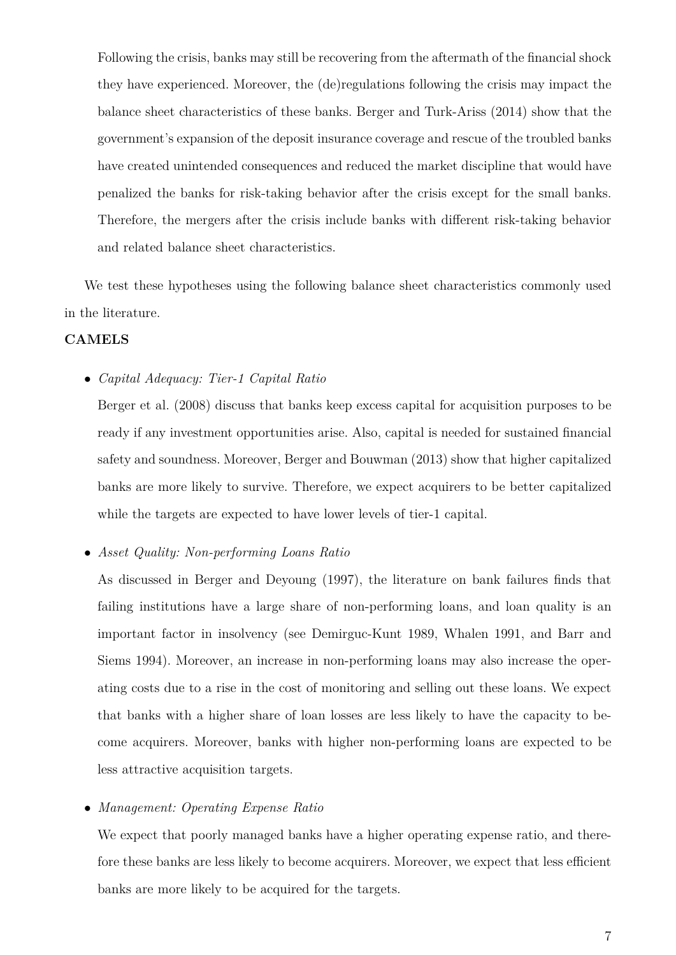Following the crisis, banks may still be recovering from the aftermath of the financial shock they have experienced. Moreover, the (de)regulations following the crisis may impact the balance sheet characteristics of these banks. Berger and Turk-Ariss (2014) show that the government's expansion of the deposit insurance coverage and rescue of the troubled banks have created unintended consequences and reduced the market discipline that would have penalized the banks for risk-taking behavior after the crisis except for the small banks. Therefore, the mergers after the crisis include banks with different risk-taking behavior and related balance sheet characteristics.

We test these hypotheses using the following balance sheet characteristics commonly used in the literature.

### **CAMELS**

• *Capital Adequacy: Tier-1 Capital Ratio*

Berger et al. (2008) discuss that banks keep excess capital for acquisition purposes to be ready if any investment opportunities arise. Also, capital is needed for sustained financial safety and soundness. Moreover, Berger and Bouwman (2013) show that higher capitalized banks are more likely to survive. Therefore, we expect acquirers to be better capitalized while the targets are expected to have lower levels of tier-1 capital.

• *Asset Quality: Non-performing Loans Ratio*

As discussed in Berger and Deyoung (1997), the literature on bank failures finds that failing institutions have a large share of non-performing loans, and loan quality is an important factor in insolvency (see Demirguc-Kunt 1989, Whalen 1991, and Barr and Siems 1994). Moreover, an increase in non-performing loans may also increase the operating costs due to a rise in the cost of monitoring and selling out these loans. We expect that banks with a higher share of loan losses are less likely to have the capacity to become acquirers. Moreover, banks with higher non-performing loans are expected to be less attractive acquisition targets.

• *Management: Operating Expense Ratio*

We expect that poorly managed banks have a higher operating expense ratio, and therefore these banks are less likely to become acquirers. Moreover, we expect that less efficient banks are more likely to be acquired for the targets.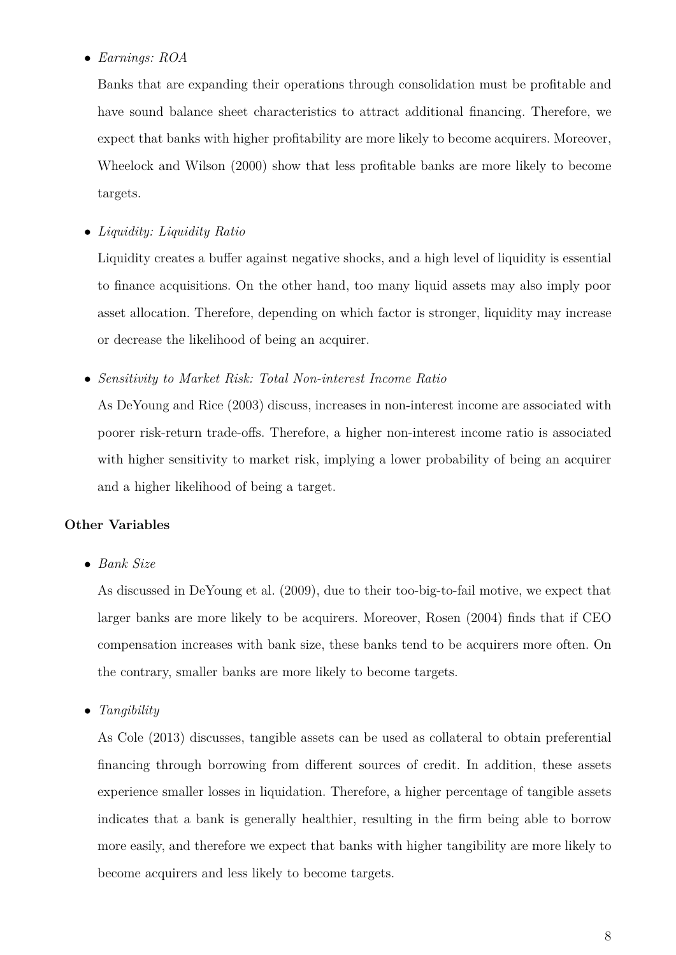## • *Earnings: ROA*

Banks that are expanding their operations through consolidation must be profitable and have sound balance sheet characteristics to attract additional financing. Therefore, we expect that banks with higher profitability are more likely to become acquirers. Moreover, Wheelock and Wilson (2000) show that less profitable banks are more likely to become targets.

• *Liquidity: Liquidity Ratio*

Liquidity creates a buffer against negative shocks, and a high level of liquidity is essential to finance acquisitions. On the other hand, too many liquid assets may also imply poor asset allocation. Therefore, depending on which factor is stronger, liquidity may increase or decrease the likelihood of being an acquirer.

• *Sensitivity to Market Risk: Total Non-interest Income Ratio*

As DeYoung and Rice (2003) discuss, increases in non-interest income are associated with poorer risk-return trade-offs. Therefore, a higher non-interest income ratio is associated with higher sensitivity to market risk, implying a lower probability of being an acquirer and a higher likelihood of being a target.

#### **Other Variables**

• *Bank Size*

As discussed in DeYoung et al. (2009), due to their too-big-to-fail motive, we expect that larger banks are more likely to be acquirers. Moreover, Rosen (2004) finds that if CEO compensation increases with bank size, these banks tend to be acquirers more often. On the contrary, smaller banks are more likely to become targets.

• *Tangibility*

As Cole (2013) discusses, tangible assets can be used as collateral to obtain preferential financing through borrowing from different sources of credit. In addition, these assets experience smaller losses in liquidation. Therefore, a higher percentage of tangible assets indicates that a bank is generally healthier, resulting in the firm being able to borrow more easily, and therefore we expect that banks with higher tangibility are more likely to become acquirers and less likely to become targets.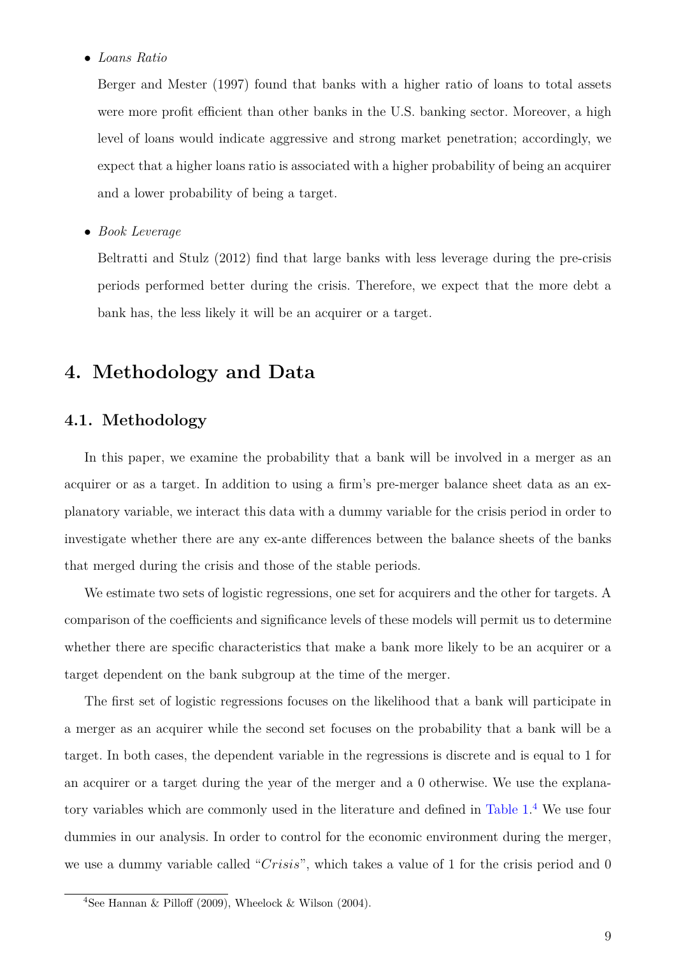#### • *Loans Ratio*

Berger and Mester (1997) found that banks with a higher ratio of loans to total assets were more profit efficient than other banks in the U.S. banking sector. Moreover, a high level of loans would indicate aggressive and strong market penetration; accordingly, we expect that a higher loans ratio is associated with a higher probability of being an acquirer and a lower probability of being a target.

• *Book Leverage*

Beltratti and Stulz (2012) find that large banks with less leverage during the pre-crisis periods performed better during the crisis. Therefore, we expect that the more debt a bank has, the less likely it will be an acquirer or a target.

# **4. Methodology and Data**

## **4.1. Methodology**

In this paper, we examine the probability that a bank will be involved in a merger as an acquirer or as a target. In addition to using a firm's pre-merger balance sheet data as an explanatory variable, we interact this data with a dummy variable for the crisis period in order to investigate whether there are any ex-ante differences between the balance sheets of the banks that merged during the crisis and those of the stable periods.

We estimate two sets of logistic regressions, one set for acquirers and the other for targets. A comparison of the coefficients and significance levels of these models will permit us to determine whether there are specific characteristics that make a bank more likely to be an acquirer or a target dependent on the bank subgroup at the time of the merger.

The first set of logistic regressions focuses on the likelihood that a bank will participate in a merger as an acquirer while the second set focuses on the probability that a bank will be a target. In both cases, the dependent variable in the regressions is discrete and is equal to 1 for an acquirer or a target during the year of the merger and a 0 otherwise. We use the explanatory variables which are commonly used in the literature and defined in Table 1. 4 We use four dummies in our analysis. In order to control for the economic environment during the merger, we use a dummy variable called "*Crisis*", which takes a value of 1 for the crisis period and 0

<sup>&</sup>lt;sup>4</sup>See Hannan & Pilloff (2009), Wheelock & Wilson (2004).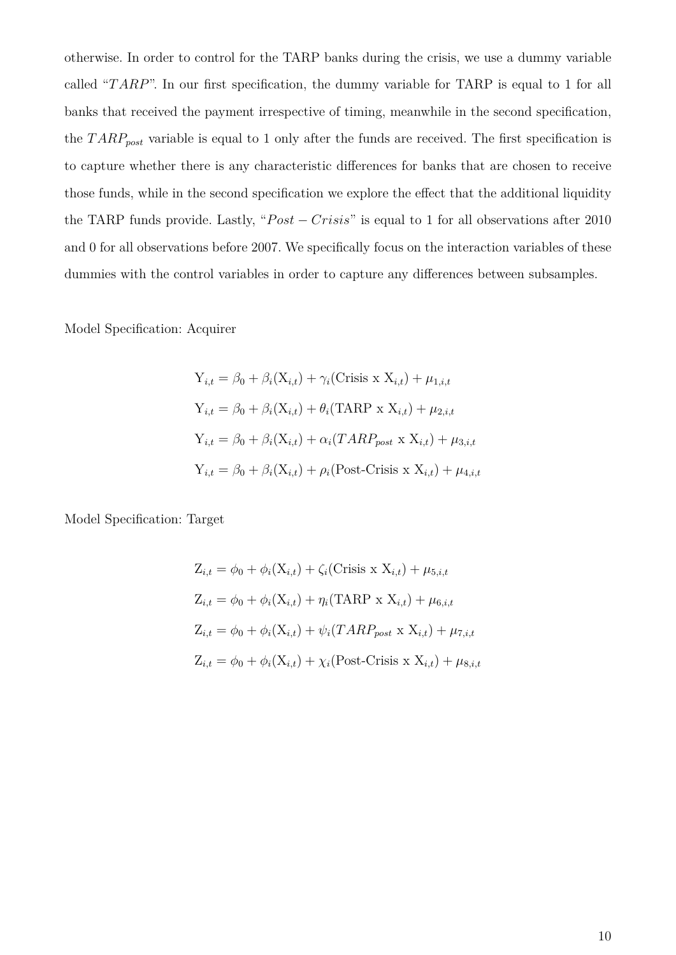otherwise. In order to control for the TARP banks during the crisis, we use a dummy variable called "*T ARP*". In our first specification, the dummy variable for TARP is equal to 1 for all banks that received the payment irrespective of timing, meanwhile in the second specification, the *T ARPpost* variable is equal to 1 only after the funds are received. The first specification is to capture whether there is any characteristic differences for banks that are chosen to receive those funds, while in the second specification we explore the effect that the additional liquidity the TARP funds provide. Lastly, "*P ost* − *Crisis*" is equal to 1 for all observations after 2010 and 0 for all observations before 2007. We specifically focus on the interaction variables of these dummies with the control variables in order to capture any differences between subsamples.

Model Specification: Acquirer

$$
Y_{i,t} = \beta_0 + \beta_i(X_{i,t}) + \gamma_i(\text{Crisis x } X_{i,t}) + \mu_{1,i,t}
$$
  
\n
$$
Y_{i,t} = \beta_0 + \beta_i(X_{i,t}) + \theta_i(\text{TARP x } X_{i,t}) + \mu_{2,i,t}
$$
  
\n
$$
Y_{i,t} = \beta_0 + \beta_i(X_{i,t}) + \alpha_i(\text{TARP_{post x } X_{i,t}) + \mu_{3,i,t}
$$
  
\n
$$
Y_{i,t} = \beta_0 + \beta_i(X_{i,t}) + \rho_i(\text{Post-Crisis x } X_{i,t}) + \mu_{4,i,t}
$$

Model Specification: Target

$$
Z_{i,t} = \phi_0 + \phi_i(X_{i,t}) + \zeta_i(\text{Crisis x } X_{i,t}) + \mu_{5,i,t}
$$
  
\n
$$
Z_{i,t} = \phi_0 + \phi_i(X_{i,t}) + \eta_i(\text{TARP x } X_{i,t}) + \mu_{6,i,t}
$$
  
\n
$$
Z_{i,t} = \phi_0 + \phi_i(X_{i,t}) + \psi_i(\text{TARP}_{post x } X_{i,t}) + \mu_{7,i,t}
$$
  
\n
$$
Z_{i,t} = \phi_0 + \phi_i(X_{i,t}) + \chi_i(\text{Post-Crisis x } X_{i,t}) + \mu_{8,i,t}
$$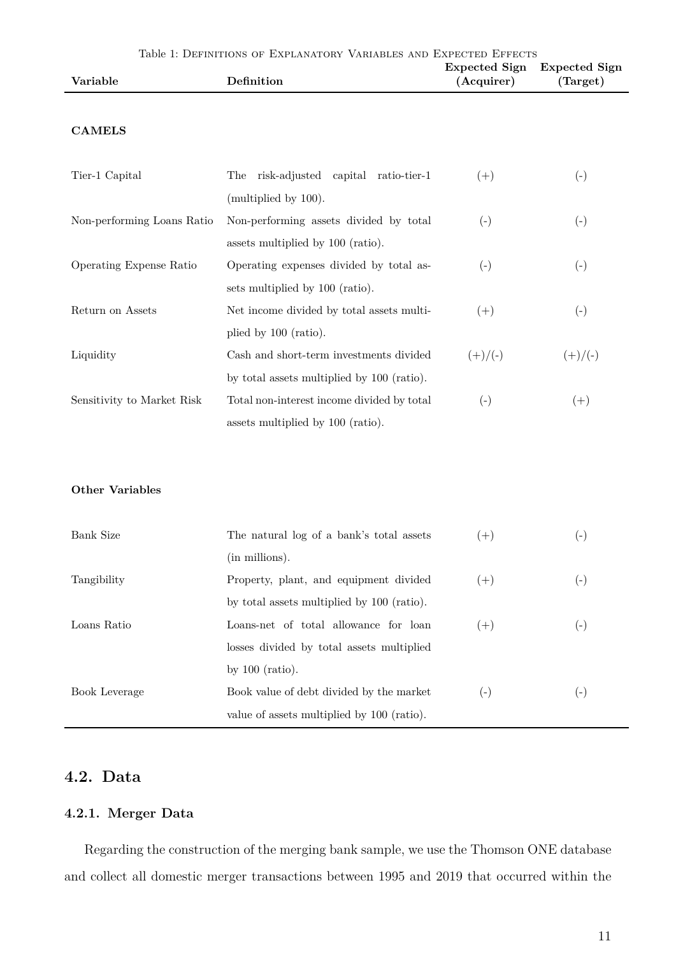|          | Table 1: DEFINITIONS OF EXPLANATORY VARIABLES AND EXPECTED EFFECTS |                             |          |
|----------|--------------------------------------------------------------------|-----------------------------|----------|
|          |                                                                    | Expected Sign Expected Sign |          |
| Variable | Definition                                                         | (Acquirer)                  | (Target) |
|          |                                                                    |                             |          |

### **CAMELS**

| Tier-1 Capital             | risk-adjusted capital ratio-tier-1<br>The  | $(+)$     | $(-)$     |
|----------------------------|--------------------------------------------|-----------|-----------|
|                            | (multiplied by 100).                       |           |           |
| Non-performing Loans Ratio | Non-performing assets divided by total     | $(-)$     | $(-)$     |
|                            | assets multiplied by 100 (ratio).          |           |           |
| Operating Expense Ratio    | Operating expenses divided by total as-    | $(-)$     | $(-)$     |
|                            | sets multiplied by 100 (ratio).            |           |           |
| Return on Assets           | Net income divided by total assets multi-  | $(+)$     | $(-)$     |
|                            | plied by 100 (ratio).                      |           |           |
| Liquidity                  | Cash and short-term investments divided    | $(+)/(-)$ | $(+)/(-)$ |
|                            | by total assets multiplied by 100 (ratio). |           |           |
| Sensitivity to Market Risk | Total non-interest income divided by total | $(-)$     | $(+)$     |
|                            | assets multiplied by 100 (ratio).          |           |           |

#### **Other Variables**

| <b>Bank Size</b> | The natural log of a bank's total assets   | $(+)$    | $\left( -\right)$ |
|------------------|--------------------------------------------|----------|-------------------|
|                  | (in millions).                             |          |                   |
| Tangibility      | Property, plant, and equipment divided     | $(+)$    | (-)               |
|                  | by total assets multiplied by 100 (ratio). |          |                   |
| Loans Ratio      | Loans-net of total allowance for loan      | $^{(+)}$ | (-)               |
|                  | losses divided by total assets multiplied  |          |                   |
|                  | by $100$ (ratio).                          |          |                   |
| Book Leverage    | Book value of debt divided by the market   | $(-)$    | ( – )             |
|                  | value of assets multiplied by 100 (ratio). |          |                   |

# **4.2. Data**

## **4.2.1. Merger Data**

Regarding the construction of the merging bank sample, we use the Thomson ONE database and collect all domestic merger transactions between 1995 and 2019 that occurred within the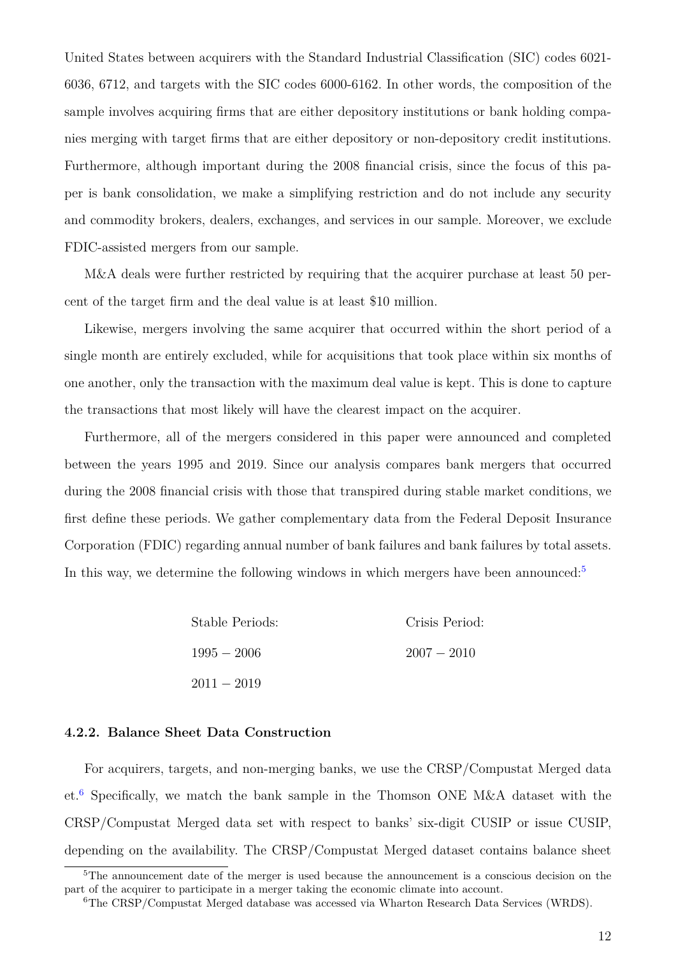United States between acquirers with the Standard Industrial Classification (SIC) codes 6021- 6036, 6712, and targets with the SIC codes 6000-6162. In other words, the composition of the sample involves acquiring firms that are either depository institutions or bank holding companies merging with target firms that are either depository or non-depository credit institutions. Furthermore, although important during the 2008 financial crisis, since the focus of this paper is bank consolidation, we make a simplifying restriction and do not include any security and commodity brokers, dealers, exchanges, and services in our sample. Moreover, we exclude FDIC-assisted mergers from our sample.

M&A deals were further restricted by requiring that the acquirer purchase at least 50 percent of the target firm and the deal value is at least \$10 million.

Likewise, mergers involving the same acquirer that occurred within the short period of a single month are entirely excluded, while for acquisitions that took place within six months of one another, only the transaction with the maximum deal value is kept. This is done to capture the transactions that most likely will have the clearest impact on the acquirer.

Furthermore, all of the mergers considered in this paper were announced and completed between the years 1995 and 2019. Since our analysis compares bank mergers that occurred during the 2008 financial crisis with those that transpired during stable market conditions, we first define these periods. We gather complementary data from the Federal Deposit Insurance Corporation (FDIC) regarding annual number of bank failures and bank failures by total assets. In this way, we determine the following windows in which mergers have been announced:<sup>5</sup>

| Stable Periods: | Crisis Period: |
|-----------------|----------------|
| $1995 - 2006$   | $2007 - 2010$  |
| $2011 - 2019$   |                |

#### **4.2.2. Balance Sheet Data Construction**

For acquirers, targets, and non-merging banks, we use the CRSP/Compustat Merged data et.6 Specifically, we match the bank sample in the Thomson ONE M&A dataset with the CRSP/Compustat Merged data set with respect to banks' six-digit CUSIP or issue CUSIP, depending on the availability. The CRSP/Compustat Merged dataset contains balance sheet

<sup>&</sup>lt;sup>5</sup>The announcement date of the merger is used because the announcement is a conscious decision on the part of the acquirer to participate in a merger taking the economic climate into account.

<sup>6</sup>The CRSP/Compustat Merged database was accessed via Wharton Research Data Services (WRDS).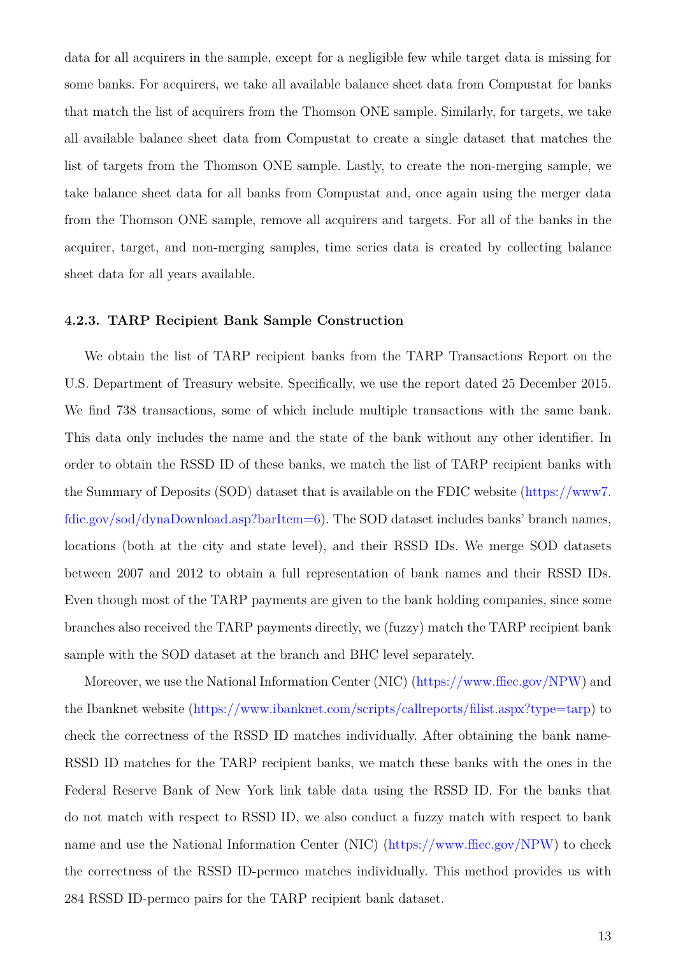data for all acquirers in the sample, except for a negligible few while target data is missing for some banks. For acquirers, we take all available balance sheet data from Compustat for banks that match the list of acquirers from the Thomson ONE sample. Similarly, for targets, we take all available balance sheet data from Compustat to create a single dataset that matches the list of targets from the Thomson ONE sample. Lastly, to create the non-merging sample, we take balance sheet data for all banks from Compustat and, once again using the merger data from the Thomson ONE sample, remove all acquirers and targets. For all of the banks in the acquirer, target, and non-merging samples, time series data is created by collecting balance sheet data for all years available.

#### **4.2.3. TARP Recipient Bank Sample Construction**

We obtain the list of TARP recipient banks from the TARP Transactions Report on the U.S. Department of Treasury website. Specifically, we use the report dated 25 December 2015. We find 738 transactions, some of which include multiple transactions with the same bank. This data only includes the name and the state of the bank without any other identifier. In order to obtain the RSSD ID of these banks, we match the list of TARP recipient banks with the Summary of Deposits (SOD) dataset that is available on the FDIC website [\(https://www7.](https://www7.fdic.gov/sod/dynaDownload.asp?barItem=6) [fdic.gov/sod/dynaDownload.asp?barItem=6\)](https://www7.fdic.gov/sod/dynaDownload.asp?barItem=6). The SOD dataset includes banks' branch names, locations (both at the city and state level), and their RSSD IDs. We merge SOD datasets between 2007 and 2012 to obtain a full representation of bank names and their RSSD IDs. Even though most of the TARP payments are given to the bank holding companies, since some branches also received the TARP payments directly, we (fuzzy) match the TARP recipient bank sample with the SOD dataset at the branch and BHC level separately.

Moreover, we use the National Information Center (NIC) [\(https://www.ffiec.gov/NPW\)](https://www.ffiec.gov/NPW) and the Ibanknet website [\(https://www.ibanknet.com/scripts/callreports/filist.aspx?type=tarp\)](https://www.ibanknet.com/scripts/callreports/filist.aspx?type=tarp) to check the correctness of the RSSD ID matches individually. After obtaining the bank name-RSSD ID matches for the TARP recipient banks, we match these banks with the ones in the Federal Reserve Bank of New York link table data using the RSSD ID. For the banks that do not match with respect to RSSD ID, we also conduct a fuzzy match with respect to bank name and use the National Information Center (NIC) [\(https://www.ffiec.gov/NPW\)](https://www.ffiec.gov/NPW) to check the correctness of the RSSD ID-permco matches individually. This method provides us with 284 RSSD ID-permco pairs for the TARP recipient bank dataset.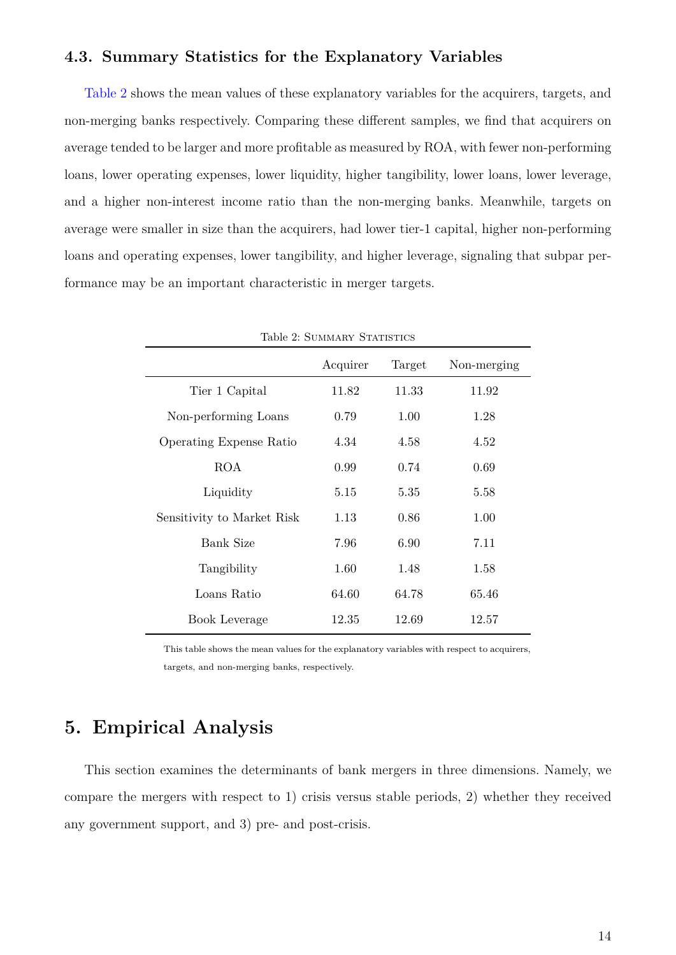## **4.3. Summary Statistics for the Explanatory Variables**

Table 2 shows the mean values of these explanatory variables for the acquirers, targets, and non-merging banks respectively. Comparing these different samples, we find that acquirers on average tended to be larger and more profitable as measured by ROA, with fewer non-performing loans, lower operating expenses, lower liquidity, higher tangibility, lower loans, lower leverage, and a higher non-interest income ratio than the non-merging banks. Meanwhile, targets on average were smaller in size than the acquirers, had lower tier-1 capital, higher non-performing loans and operating expenses, lower tangibility, and higher leverage, signaling that subpar performance may be an important characteristic in merger targets.

| Table 2: SUMMARY STATISTICS    |             |       |       |  |  |  |  |  |
|--------------------------------|-------------|-------|-------|--|--|--|--|--|
|                                | Non-merging |       |       |  |  |  |  |  |
| Tier 1 Capital                 | 11.82       | 11.33 | 11.92 |  |  |  |  |  |
| Non-performing Loans           | 0.79        | 1.00  | 1.28  |  |  |  |  |  |
| <b>Operating Expense Ratio</b> | 4.34        | 4.58  | 4.52  |  |  |  |  |  |
| <b>ROA</b>                     | 0.99        | 0.74  | 0.69  |  |  |  |  |  |
| Liquidity                      | 5.15        | 5.35  | 5.58  |  |  |  |  |  |
| Sensitivity to Market Risk     | 1.13        | 0.86  | 1.00  |  |  |  |  |  |
| <b>Bank Size</b>               | 7.96        | 6.90  | 7.11  |  |  |  |  |  |
| Tangibility                    | 1.60        | 1.48  | 1.58  |  |  |  |  |  |
| Loans Ratio                    | 64.60       | 64.78 | 65.46 |  |  |  |  |  |
| Book Leverage                  | 12.35       | 12.69 | 12.57 |  |  |  |  |  |

This table shows the mean values for the explanatory variables with respect to acquirers, targets, and non-merging banks, respectively.

# **5. Empirical Analysis**

This section examines the determinants of bank mergers in three dimensions. Namely, we compare the mergers with respect to 1) crisis versus stable periods, 2) whether they received any government support, and 3) pre- and post-crisis.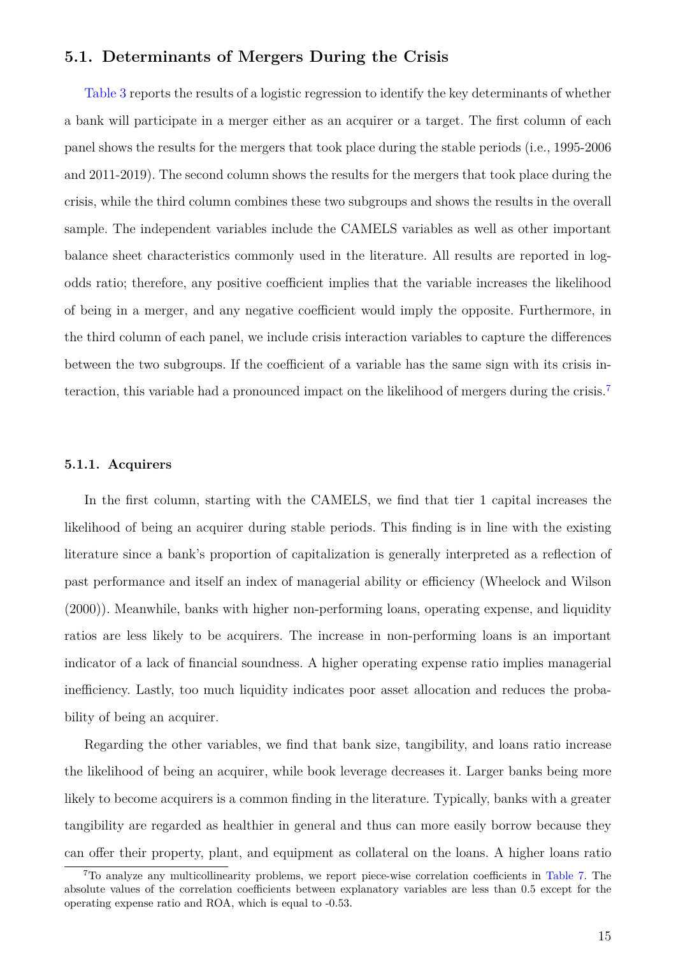## **5.1. Determinants of Mergers During the Crisis**

Table 3 reports the results of a logistic regression to identify the key determinants of whether a bank will participate in a merger either as an acquirer or a target. The first column of each panel shows the results for the mergers that took place during the stable periods (i.e., 1995-2006 and 2011-2019). The second column shows the results for the mergers that took place during the crisis, while the third column combines these two subgroups and shows the results in the overall sample. The independent variables include the CAMELS variables as well as other important balance sheet characteristics commonly used in the literature. All results are reported in logodds ratio; therefore, any positive coefficient implies that the variable increases the likelihood of being in a merger, and any negative coefficient would imply the opposite. Furthermore, in the third column of each panel, we include crisis interaction variables to capture the differences between the two subgroups. If the coefficient of a variable has the same sign with its crisis interaction, this variable had a pronounced impact on the likelihood of mergers during the crisis.7

#### **5.1.1. Acquirers**

In the first column, starting with the CAMELS, we find that tier 1 capital increases the likelihood of being an acquirer during stable periods. This finding is in line with the existing literature since a bank's proportion of capitalization is generally interpreted as a reflection of past performance and itself an index of managerial ability or efficiency (Wheelock and Wilson (2000)). Meanwhile, banks with higher non-performing loans, operating expense, and liquidity ratios are less likely to be acquirers. The increase in non-performing loans is an important indicator of a lack of financial soundness. A higher operating expense ratio implies managerial inefficiency. Lastly, too much liquidity indicates poor asset allocation and reduces the probability of being an acquirer.

Regarding the other variables, we find that bank size, tangibility, and loans ratio increase the likelihood of being an acquirer, while book leverage decreases it. Larger banks being more likely to become acquirers is a common finding in the literature. Typically, banks with a greater tangibility are regarded as healthier in general and thus can more easily borrow because they can offer their property, plant, and equipment as collateral on the loans. A higher loans ratio

<sup>7</sup>To analyze any multicollinearity problems, we report piece-wise correlation coefficients in Table 7. The absolute values of the correlation coefficients between explanatory variables are less than 0.5 except for the operating expense ratio and ROA, which is equal to -0.53.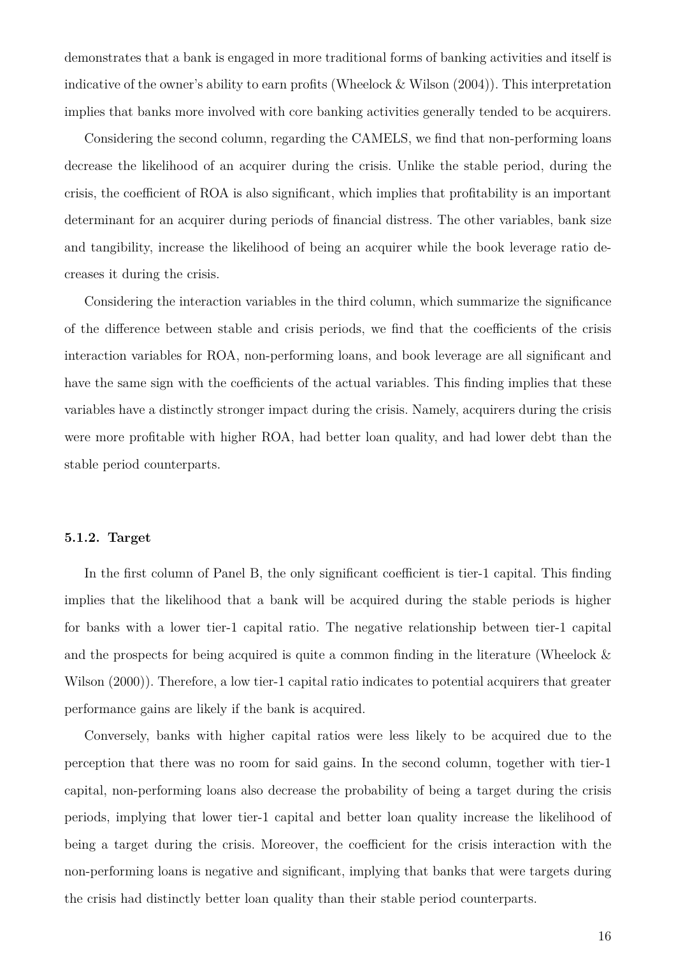demonstrates that a bank is engaged in more traditional forms of banking activities and itself is indicative of the owner's ability to earn profits (Wheelock & Wilson (2004)). This interpretation implies that banks more involved with core banking activities generally tended to be acquirers.

Considering the second column, regarding the CAMELS, we find that non-performing loans decrease the likelihood of an acquirer during the crisis. Unlike the stable period, during the crisis, the coefficient of ROA is also significant, which implies that profitability is an important determinant for an acquirer during periods of financial distress. The other variables, bank size and tangibility, increase the likelihood of being an acquirer while the book leverage ratio decreases it during the crisis.

Considering the interaction variables in the third column, which summarize the significance of the difference between stable and crisis periods, we find that the coefficients of the crisis interaction variables for ROA, non-performing loans, and book leverage are all significant and have the same sign with the coefficients of the actual variables. This finding implies that these variables have a distinctly stronger impact during the crisis. Namely, acquirers during the crisis were more profitable with higher ROA, had better loan quality, and had lower debt than the stable period counterparts.

#### **5.1.2. Target**

In the first column of Panel B, the only significant coefficient is tier-1 capital. This finding implies that the likelihood that a bank will be acquired during the stable periods is higher for banks with a lower tier-1 capital ratio. The negative relationship between tier-1 capital and the prospects for being acquired is quite a common finding in the literature (Wheelock  $\&$ Wilson (2000)). Therefore, a low tier-1 capital ratio indicates to potential acquirers that greater performance gains are likely if the bank is acquired.

Conversely, banks with higher capital ratios were less likely to be acquired due to the perception that there was no room for said gains. In the second column, together with tier-1 capital, non-performing loans also decrease the probability of being a target during the crisis periods, implying that lower tier-1 capital and better loan quality increase the likelihood of being a target during the crisis. Moreover, the coefficient for the crisis interaction with the non-performing loans is negative and significant, implying that banks that were targets during the crisis had distinctly better loan quality than their stable period counterparts.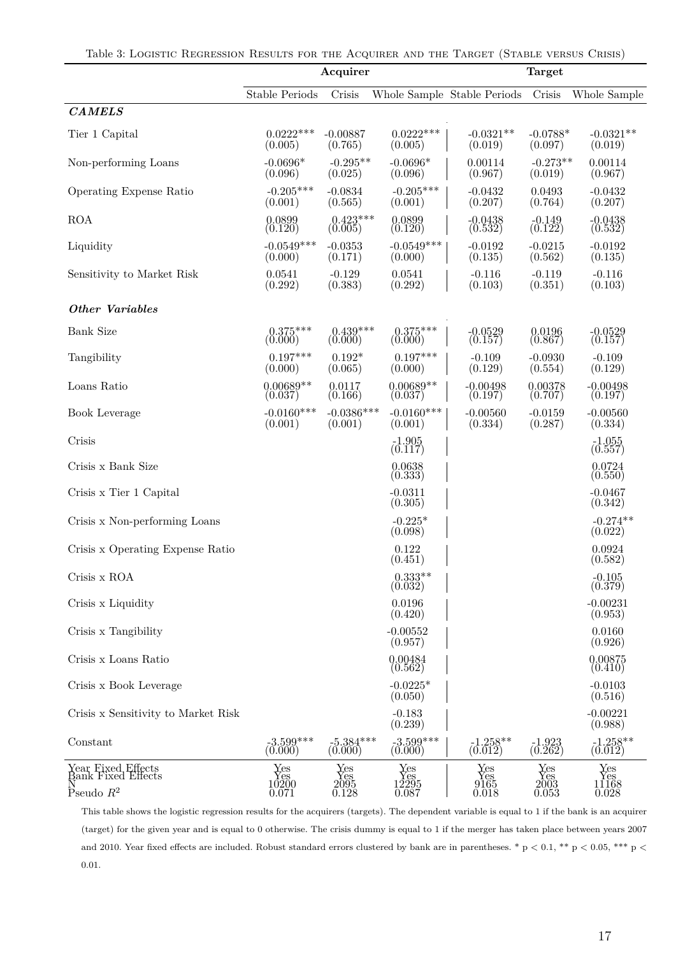| 0. Doublic Requestion Resource For the Hogonian and the Tanguli (Stable Vences Choic |                                           | Acquirer                                  |                                                | Target                                                |                                                |                                                  |  |  |
|--------------------------------------------------------------------------------------|-------------------------------------------|-------------------------------------------|------------------------------------------------|-------------------------------------------------------|------------------------------------------------|--------------------------------------------------|--|--|
|                                                                                      | <b>Stable Periods</b>                     | Crisis                                    |                                                | Whole Sample Stable Periods<br>Crisis<br>Whole Sample |                                                |                                                  |  |  |
| <b>CAMELS</b>                                                                        |                                           |                                           |                                                |                                                       |                                                |                                                  |  |  |
| Tier 1 Capital                                                                       | $0.0222***$<br>(0.005)                    | $-0.00887$<br>(0.765)                     | $0.0222***$<br>(0.005)                         | $-0.0321**$<br>(0.019)                                | $-0.0788*$<br>(0.097)                          | $-0.0321**$<br>(0.019)                           |  |  |
| Non-performing Loans                                                                 | $-0.0696*$<br>(0.096)                     | $-0.295**$<br>(0.025)                     | $-0.0696*$<br>(0.096)                          | 0.00114<br>(0.967)                                    | $-0.273**$<br>(0.019)                          | 0.00114<br>(0.967)                               |  |  |
| Operating Expense Ratio                                                              | $-0.205***$<br>(0.001)                    | $-0.0834$<br>(0.565)                      | $-0.205***$<br>(0.001)                         | $-0.0432$<br>(0.207)                                  | 0.0493<br>(0.764)                              | $-0.0432$<br>(0.207)                             |  |  |
| <b>ROA</b>                                                                           | 0.0899<br>(0.120)                         | $0.423***$<br>(0.005)                     | 0.0899<br>(0.120)                              | $\substack{+0.0438\\(0.532)}$                         | $-0.149$<br>$(0.122)$                          | $\substack{+0.0438\\ (0.532)}$                   |  |  |
| Liquidity                                                                            | $-0.0549***$<br>(0.000)                   | $-0.0353$<br>(0.171)                      | $-0.0549***$<br>(0.000)                        | $-0.0192$<br>(0.135)                                  | $-0.0215$<br>(0.562)                           | $-0.0192$<br>(0.135)                             |  |  |
| Sensitivity to Market Risk                                                           | 0.0541<br>(0.292)                         | $-0.129$<br>(0.383)                       | 0.0541<br>(0.292)                              | $-0.116$<br>(0.103)                                   | $-0.119$<br>(0.351)                            | $-0.116$<br>(0.103)                              |  |  |
| Other Variables                                                                      |                                           |                                           |                                                |                                                       |                                                |                                                  |  |  |
| <b>Bank Size</b>                                                                     | $0.375***$<br>(0.000)                     | $0.439***$<br>(0.000)                     | $0.375***$<br>(0.000)                          | $-0.0529$<br>$(0.157)$                                | 0.0196<br>(0.867)                              | $-0.0529$<br>$(0.157)$                           |  |  |
| Tangibility                                                                          | $0.197***$<br>(0.000)                     | $0.192*$<br>(0.065)                       | $0.197***$<br>(0.000)                          | $-0.109$<br>(0.129)                                   | $-0.0930$<br>(0.554)                           | $-0.109$<br>(0.129)                              |  |  |
| Loans Ratio                                                                          | $0.00689**$<br>(0.037)                    | 0.0117<br>(0.166)                         | $0.00689**$<br>(0.037)                         | $-0.00498$<br>$(0.197)$                               | $0.00378$<br>$(0.707)$                         | $-0.00498$<br>$(0.197)$                          |  |  |
| Book Leverage                                                                        | $-0.0160***$<br>(0.001)                   | $-0.0386***$<br>(0.001)                   | $-0.0160***$<br>(0.001)                        | $-0.00560$<br>(0.334)                                 | $-0.0159$<br>(0.287)                           | $-0.00560$<br>(0.334)                            |  |  |
| Crisis                                                                               |                                           |                                           | $\frac{-1.905}{(0.117)}$                       |                                                       |                                                | $\frac{-1.055}{(0.557)}$                         |  |  |
| Crisis x Bank Size                                                                   |                                           |                                           | (0.0638)                                       |                                                       |                                                | $\begin{array}{c} 0.0724 \\ (0.550) \end{array}$ |  |  |
| Crisis x Tier 1 Capital                                                              |                                           |                                           | $-0.0311$<br>(0.305)                           |                                                       |                                                | $-0.0467$<br>(0.342)                             |  |  |
| Crisis x Non-performing Loans                                                        |                                           |                                           | $-0.225*$<br>(0.098)                           |                                                       |                                                | $-0.274**$<br>(0.022)                            |  |  |
| Crisis x Operating Expense Ratio                                                     |                                           |                                           | 0.122<br>(0.451)                               |                                                       |                                                | 0.0924<br>(0.582)                                |  |  |
| Crisis x ROA                                                                         |                                           |                                           | $0.333**$<br>(0.032)                           |                                                       |                                                | $-0.105$<br>(0.379)                              |  |  |
| Crisis x Liquidity                                                                   |                                           |                                           | 0.0196<br>(0.420)                              |                                                       |                                                | $-0.00231$<br>(0.953)                            |  |  |
| Crisis x Tangibility                                                                 |                                           |                                           | $-0.00552$<br>(0.957)                          |                                                       |                                                | 0.0160<br>(0.926)                                |  |  |
| Crisis x Loans Ratio                                                                 |                                           |                                           | 0.00484<br>(0.562)                             |                                                       |                                                | 0.00875<br>(0.410)                               |  |  |
| Crisis x Book Leverage                                                               |                                           |                                           | $-0.0225*$<br>(0.050)                          |                                                       |                                                | $-0.0103$<br>(0.516)                             |  |  |
| Crisis x Sensitivity to Market Risk                                                  |                                           |                                           | $-0.183$<br>(0.239)                            |                                                       |                                                | $-0.00221$<br>(0.988)                            |  |  |
| Constant                                                                             | $-3.599***$<br>(0.000)                    | $-5.384***$<br>(0.000)                    | $-3.599***$<br>(0.000)                         | $\binom{-1.258^{**}}{(0.012)}$                        | $\frac{-1.923}{(0.262)}$                       | $-1.258**$<br>(0.012)                            |  |  |
| Year Fixed Effects<br>Rank Fixed Effects<br>Pseudo $\mathbb{R}^2$                    | Yes<br>$\chi_{200}^{\text{Yes}}$<br>0.071 | Ҳes<br>$\frac{\text{Yes}}{2095}$<br>0.128 | $Y_{\text{es}}^{\text{S}}$<br>$12295$<br>0.087 | $Y_{\rm{es}}^{\rm{S}}$<br>9165<br>0.018               | $\mathop{\mathrm{Yes}}\limits_{2003}$<br>0.053 | ¥еs<br>$\rm Yes$<br>11168<br>0.028               |  |  |

This table shows the logistic regression results for the acquirers (targets). The dependent variable is equal to 1 if the bank is an acquirer (target) for the given year and is equal to 0 otherwise. The crisis dummy is equal to 1 if the merger has taken place between years 2007 and 2010. Year fixed effects are included. Robust standard errors clustered by bank are in parentheses. \*  $p < 0.1$ , \*\*  $p < 0.05$ , \*\*\*  $p <$ 0.01.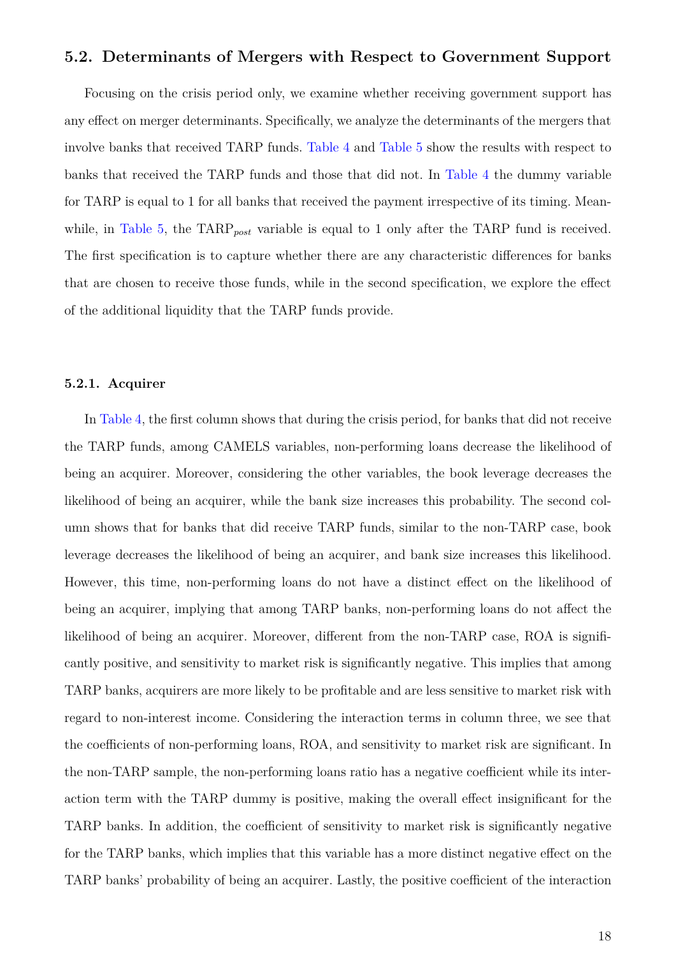## **5.2. Determinants of Mergers with Respect to Government Support**

Focusing on the crisis period only, we examine whether receiving government support has any effect on merger determinants. Specifically, we analyze the determinants of the mergers that involve banks that received TARP funds. Table 4 and Table 5 show the results with respect to banks that received the TARP funds and those that did not. In Table 4 the dummy variable for TARP is equal to 1 for all banks that received the payment irrespective of its timing. Meanwhile, in Table 5, the TARP<sub>*post*</sub> variable is equal to 1 only after the TARP fund is received. The first specification is to capture whether there are any characteristic differences for banks that are chosen to receive those funds, while in the second specification, we explore the effect of the additional liquidity that the TARP funds provide.

#### **5.2.1. Acquirer**

In Table 4, the first column shows that during the crisis period, for banks that did not receive the TARP funds, among CAMELS variables, non-performing loans decrease the likelihood of being an acquirer. Moreover, considering the other variables, the book leverage decreases the likelihood of being an acquirer, while the bank size increases this probability. The second column shows that for banks that did receive TARP funds, similar to the non-TARP case, book leverage decreases the likelihood of being an acquirer, and bank size increases this likelihood. However, this time, non-performing loans do not have a distinct effect on the likelihood of being an acquirer, implying that among TARP banks, non-performing loans do not affect the likelihood of being an acquirer. Moreover, different from the non-TARP case, ROA is significantly positive, and sensitivity to market risk is significantly negative. This implies that among TARP banks, acquirers are more likely to be profitable and are less sensitive to market risk with regard to non-interest income. Considering the interaction terms in column three, we see that the coefficients of non-performing loans, ROA, and sensitivity to market risk are significant. In the non-TARP sample, the non-performing loans ratio has a negative coefficient while its interaction term with the TARP dummy is positive, making the overall effect insignificant for the TARP banks. In addition, the coefficient of sensitivity to market risk is significantly negative for the TARP banks, which implies that this variable has a more distinct negative effect on the TARP banks' probability of being an acquirer. Lastly, the positive coefficient of the interaction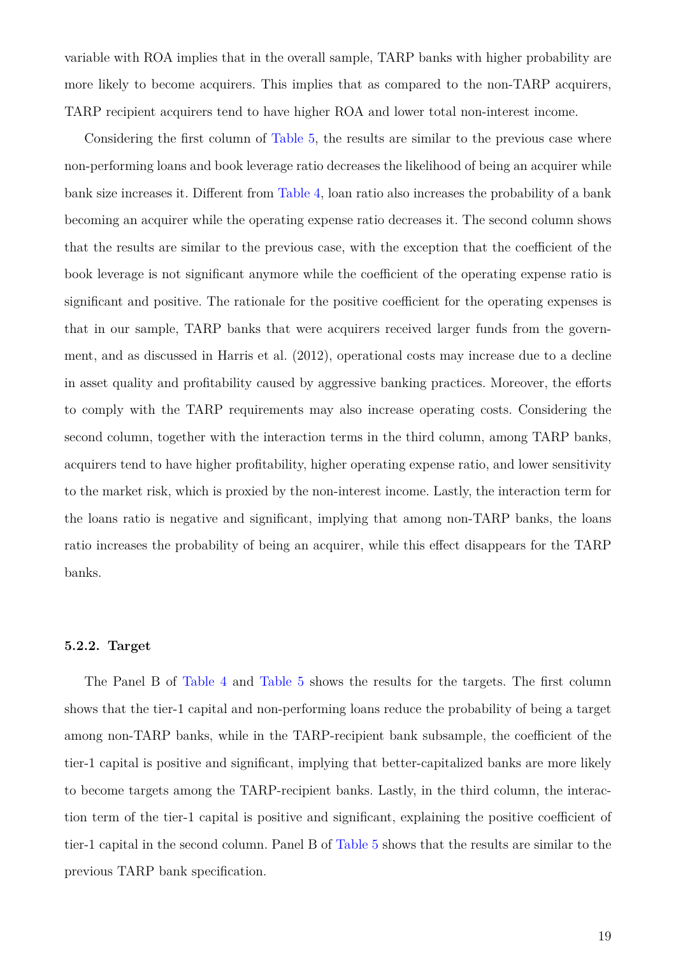variable with ROA implies that in the overall sample, TARP banks with higher probability are more likely to become acquirers. This implies that as compared to the non-TARP acquirers, TARP recipient acquirers tend to have higher ROA and lower total non-interest income.

Considering the first column of Table 5, the results are similar to the previous case where non-performing loans and book leverage ratio decreases the likelihood of being an acquirer while bank size increases it. Different from Table 4, loan ratio also increases the probability of a bank becoming an acquirer while the operating expense ratio decreases it. The second column shows that the results are similar to the previous case, with the exception that the coefficient of the book leverage is not significant anymore while the coefficient of the operating expense ratio is significant and positive. The rationale for the positive coefficient for the operating expenses is that in our sample, TARP banks that were acquirers received larger funds from the government, and as discussed in Harris et al. (2012), operational costs may increase due to a decline in asset quality and profitability caused by aggressive banking practices. Moreover, the efforts to comply with the TARP requirements may also increase operating costs. Considering the second column, together with the interaction terms in the third column, among TARP banks, acquirers tend to have higher profitability, higher operating expense ratio, and lower sensitivity to the market risk, which is proxied by the non-interest income. Lastly, the interaction term for the loans ratio is negative and significant, implying that among non-TARP banks, the loans ratio increases the probability of being an acquirer, while this effect disappears for the TARP banks.

#### **5.2.2. Target**

The Panel B of Table 4 and Table 5 shows the results for the targets. The first column shows that the tier-1 capital and non-performing loans reduce the probability of being a target among non-TARP banks, while in the TARP-recipient bank subsample, the coefficient of the tier-1 capital is positive and significant, implying that better-capitalized banks are more likely to become targets among the TARP-recipient banks. Lastly, in the third column, the interaction term of the tier-1 capital is positive and significant, explaining the positive coefficient of tier-1 capital in the second column. Panel B of Table 5 shows that the results are similar to the previous TARP bank specification.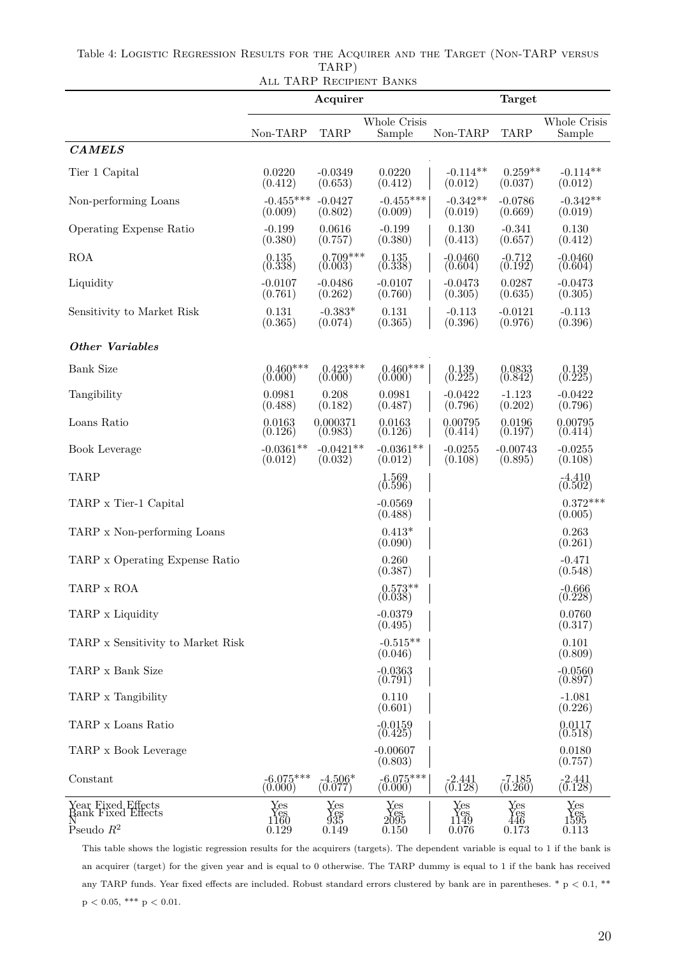|                                                          |                                                  | ALL IARF RECIPIENT DANKS                          |                                                |                                                             |                                                                            |                                                                         |  |
|----------------------------------------------------------|--------------------------------------------------|---------------------------------------------------|------------------------------------------------|-------------------------------------------------------------|----------------------------------------------------------------------------|-------------------------------------------------------------------------|--|
|                                                          |                                                  | Acquirer                                          |                                                |                                                             | Target                                                                     |                                                                         |  |
|                                                          | Non-TARP                                         | <b>TARP</b>                                       | Whole Crisis<br>Sample                         | Non-TARP                                                    | <b>TARP</b>                                                                | Whole Crisis<br>Sample                                                  |  |
| <b>CAMELS</b>                                            |                                                  |                                                   |                                                |                                                             |                                                                            |                                                                         |  |
| Tier 1 Capital                                           | 0.0220<br>(0.412)                                | $-0.0349$<br>(0.653)                              | 0.0220<br>(0.412)                              | $-0.114**$<br>(0.012)                                       | $0.259**$<br>(0.037)                                                       | $-0.114**$<br>(0.012)                                                   |  |
| Non-performing Loans                                     | $-0.455***$<br>(0.009)                           | $-0.0427$<br>(0.802)                              | $-0.455***$<br>(0.009)                         | $-0.342**$<br>(0.019)                                       | $-0.0786$<br>(0.669)                                                       | $-0.342**$<br>(0.019)                                                   |  |
| Operating Expense Ratio                                  | $-0.199$<br>(0.380)                              | 0.0616<br>(0.757)                                 | $-0.199$<br>(0.380)                            | 0.130<br>(0.413)                                            | $-0.341$<br>(0.657)                                                        | 0.130<br>(0.412)                                                        |  |
| <b>ROA</b>                                               | 0.135<br>(0.338)                                 | $0.709***$<br>(0.003)                             | [0.135]<br>(0.338)                             | $-0.0460$<br>(0.604)                                        | $-0.712$<br>(0.192)                                                        | $-0.0460$<br>(0.604)                                                    |  |
| Liquidity                                                | $-0.0107$<br>(0.761)                             | $-0.0486$<br>(0.262)                              | $-0.0107$<br>(0.760)                           | -0.0473<br>(0.305)                                          | 0.0287<br>(0.635)                                                          | $-0.0473$<br>(0.305)                                                    |  |
| Sensitivity to Market Risk                               | 0.131<br>(0.365)                                 | $-0.383*$<br>(0.074)                              | 0.131<br>(0.365)                               | $-0.113$<br>(0.396)                                         | $-0.0121$<br>(0.976)                                                       | $-0.113$<br>(0.396)                                                     |  |
| Other Variables                                          |                                                  |                                                   |                                                |                                                             |                                                                            |                                                                         |  |
| <b>Bank Size</b>                                         | $0.460***$<br>(0.000)                            | $0.423***$<br>(0.000)                             | $0.460***$<br>(0.000)                          | $\left( \begin{matrix} 0.139 \\ 0.225 \end{matrix} \right)$ | $\begin{array}{c} 0.0833 \\ 0.842 \end{array}$                             | $\left(0.139\atop 0.225\right)$                                         |  |
| Tangibility                                              | 0.0981<br>(0.488)                                | 0.208<br>(0.182)                                  | 0.0981<br>(0.487)                              | $-0.0422$<br>(0.796)                                        | $-1.123$<br>(0.202)                                                        | $-0.0422$<br>(0.796)                                                    |  |
| Loans Ratio                                              | $\begin{array}{c} 0.0163 \\ (0.126) \end{array}$ | 0,000371<br>(0.983)                               | $\begin{array}{c} 0.0163 \\ 0.126 \end{array}$ | $0.00795$<br>$(0.414)$                                      | $\begin{array}{c} 0.0196 \\ (0.197) \end{array}$                           | $\begin{array}{c} 0.00795 \\ (0.414) \end{array}$                       |  |
| Book Leverage                                            | $-0.0361**$<br>(0.012)                           | $-0.0421**$<br>(0.032)                            | $-0.0361**$<br>(0.012)                         | $-0.0255$<br>(0.108)                                        | $-0.00743$<br>(0.895)                                                      | $-0.0255$<br>(0.108)                                                    |  |
| <b>TARP</b>                                              |                                                  |                                                   | $\frac{1.569}{(0.596)}$                        |                                                             |                                                                            | $\frac{-4.410}{(0.502)}$                                                |  |
| TARP x Tier-1 Capital                                    |                                                  |                                                   | $-0.0569$<br>(0.488)                           |                                                             |                                                                            | $0.372***$<br>(0.005)                                                   |  |
| TARP x Non-performing Loans                              |                                                  |                                                   | $0.413*$<br>(0.090)                            |                                                             |                                                                            | 0.263<br>(0.261)                                                        |  |
| TARP x Operating Expense Ratio                           |                                                  |                                                   | 0.260<br>(0.387)                               |                                                             |                                                                            | $-0.471$<br>(0.548)                                                     |  |
| TARP x ROA                                               |                                                  |                                                   | $0.573**$<br>(0.038)                           |                                                             |                                                                            | -0.666<br>(0.228)                                                       |  |
| TARP x Liquidity                                         |                                                  |                                                   | $-0.0379$<br>(0.495)                           |                                                             |                                                                            | 0.0760<br>(0.317)                                                       |  |
| TARP x Sensitivity to Market Risk                        |                                                  |                                                   | $-0.515**$<br>(0.046)                          |                                                             |                                                                            | 0.101<br>(0.809)                                                        |  |
| TARP x Bank Size                                         |                                                  |                                                   | $-0.0363$<br>$(0.791)$                         |                                                             |                                                                            | $-0.0560$<br>$(0.897)$                                                  |  |
| TARP x Tangibility                                       |                                                  |                                                   | 0.110<br>(0.601)                               |                                                             |                                                                            | $-1.081$<br>(0.226)                                                     |  |
| TARP x Loans Ratio                                       |                                                  |                                                   | $-0.0159$<br>$(0.425)$                         |                                                             |                                                                            | $\begin{smallmatrix} 0.0117\\ 0.518 \end{smallmatrix}$                  |  |
| TARP x Book Leverage                                     |                                                  |                                                   | $-0.00607$<br>(0.803)                          |                                                             |                                                                            | 0.0180<br>(0.757)                                                       |  |
| Constant                                                 | $-6.075***$<br>(0.000)                           | $-4.506*$<br>(0.077)                              | $-6.075***$<br>(0.000)                         | $\frac{-2.441}{(0.128)}$                                    | $\frac{-7.185}{(0.260)}$                                                   | $\frac{-2.441}{(0.128)}$                                                |  |
| Year Fixed Effects<br>Rank Fixed Effects<br>Pseudo $R^2$ | $\mathop{\mathrm{Yes}}\limits_{1160}$<br>0.129   | $\substack{\text{Yes}\ \text{Yes}\ 935}$<br>0.149 | Yes<br>$\chi_{095}$<br>0.150                   | $\mathop{\mathrm{Yes}}\limits_{1149}$<br>0.076              | $\begin{array}{c}\text{Yes}\\ \text{Yes}\\ \text{446}\end{array}$<br>0.173 | $\begin{array}{c}\text{Yes} \\ \text{Yes} \\ 1595 \end{array}$<br>0.113 |  |

Table 4: Logistic Regression Results for the Acquirer and the Target (Non-TARP versus TARP) ALL TARP RECIPIENT BANKS

This table shows the logistic regression results for the acquirers (targets). The dependent variable is equal to 1 if the bank is an acquirer (target) for the given year and is equal to 0 otherwise. The TARP dummy is equal to 1 if the bank has received any TARP funds. Year fixed effects are included. Robust standard errors clustered by bank are in parentheses.  $*$  p < 0.1,  $**$  $p < 0.05$ , \*\*\*  $p < 0.01$ .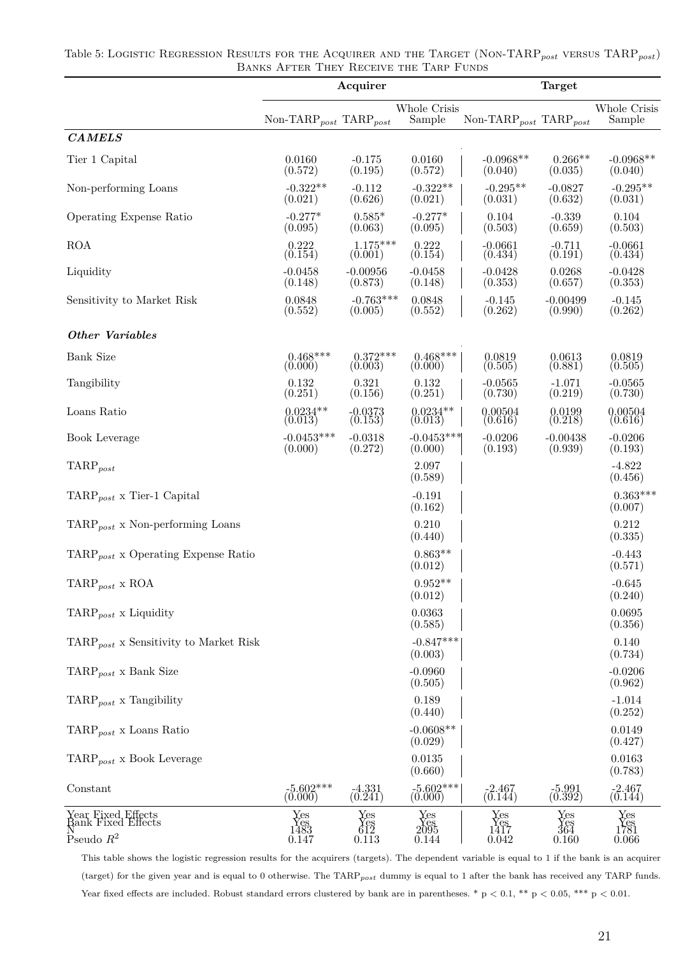|                                                   |                                               | Acquirer                |                               | <b>Target</b>                                                         |                       |                          |  |
|---------------------------------------------------|-----------------------------------------------|-------------------------|-------------------------------|-----------------------------------------------------------------------|-----------------------|--------------------------|--|
|                                                   | Non-TARP <sub>post</sub> TARP <sub>post</sub> |                         | Whole Crisis<br>Sample        | Non-TARP $_{post}$ TARP $_{post}$                                     |                       | Whole Crisis<br>Sample   |  |
| CAMELS                                            |                                               |                         |                               |                                                                       |                       |                          |  |
| Tier 1 Capital                                    | 0.0160<br>(0.572)                             | $-0.175$<br>(0.195)     | 0.0160<br>(0.572)             | $-0.0968**$<br>(0.040)                                                | $0.266**$<br>(0.035)  | $-0.0968**$<br>(0.040)   |  |
| Non-performing Loans                              | $-0.322**$<br>(0.021)                         | $-0.112$<br>(0.626)     | $-0.322**$<br>(0.021)         | $-0.295**$<br>(0.031)                                                 | $-0.0827$<br>(0.632)  | $-0.295**$<br>(0.031)    |  |
| Operating Expense Ratio                           | $-0.277*$<br>(0.095)                          | $0.585*$<br>(0.063)     | $-0.277*$<br>(0.095)          | 0.104<br>(0.503)                                                      | $-0.339$<br>(0.659)   | 0.104<br>(0.503)         |  |
| ROA                                               | $\big(0.222 \atop 0.154\big)$                 | $1.175***$<br>(0.001)   | $\big(0.222 \atop 0.154\big)$ | $\left( \begin{smallmatrix} 0.0661 \ 0.434 \end{smallmatrix} \right)$ | $-0.711$<br>(0.191)   | $-0.0661$<br>(0.434)     |  |
| Liquidity                                         | $-0.0458$<br>(0.148)                          | $-0.00956$<br>(0.873)   | $-0.0458$<br>(0.148)          | $-0.0428$<br>(0.353)                                                  | 0.0268<br>(0.657)     | $-0.0428$<br>(0.353)     |  |
| Sensitivity to Market Risk                        | 0.0848<br>(0.552)                             | $-0.763***$<br>(0.005)  | 0.0848<br>(0.552)             | $-0.145$<br>(0.262)                                                   | $-0.00499$<br>(0.990) | $-0.145$<br>(0.262)      |  |
| Other Variables                                   |                                               |                         |                               |                                                                       |                       |                          |  |
| Bank Size                                         | $0.468***$<br>(0.000)                         | $0.372***$<br>(0.003)   | $0.468***$<br>(0.000)         | 0.0819<br>(0.505)                                                     | 0.0613<br>(0.881)     | 0.0819<br>(0.505)        |  |
| Tangibility                                       | 0.132<br>(0.251)                              | 0.321<br>(0.156)        | $0.132\,$<br>(0.251)          | $-0.0565$<br>(0.730)                                                  | $-1.071$<br>(0.219)   | $-0.0565$<br>(0.730)     |  |
| Loans Ratio                                       | $0.0234**$<br>(0.013)                         | $-0.0373$<br>(0.153)    | $0.0234**$<br>(0.013)         | 0.00504<br>(0.616)                                                    | 0.0199<br>(0.218)     | 0.00504<br>(0.616)       |  |
| <b>Book Leverage</b>                              | $-0.0453***$<br>(0.000)                       | $-0.0318$<br>(0.272)    | $-0.0453***$<br>(0.000)       | $-0.0206$<br>(0.193)                                                  | $-0.00438$<br>(0.939) | $-0.0206$<br>(0.193)     |  |
| $\mathrm{TARP}_{post}$                            |                                               |                         | 2.097<br>(0.589)              |                                                                       |                       | $-4.822$<br>(0.456)      |  |
| $\text{TARP}_{post}$ x Tier-1 Capital             |                                               |                         | $-0.191$<br>(0.162)           |                                                                       |                       | $0.363***$<br>(0.007)    |  |
| $\text{TARP}_{post}$ x Non-performing Loans       |                                               |                         | 0.210<br>(0.440)              |                                                                       |                       | 0.212<br>(0.335)         |  |
| $\text{TARP}_{post}$ x Operating Expense Ratio    |                                               |                         | $0.863**$<br>(0.012)          |                                                                       |                       | $-0.443$<br>(0.571)      |  |
| TARP <sub>post</sub> x ROA                        |                                               |                         | $0.952**$<br>(0.012)          |                                                                       |                       | $-0.645$<br>(0.240)      |  |
| $\text{TARP}_{post}$ x Liquidity                  |                                               |                         | 0.0363<br>(0.585)             |                                                                       |                       | 0.0695<br>(0.356)        |  |
| $\text{TARP}_{post}$ x Sensitivity to Market Risk |                                               |                         | $-0.847***$<br>(0.003)        |                                                                       |                       | 0.140<br>(0.734)         |  |
| $\text{TARP}_{post}$ x Bank Size                  |                                               |                         | $-0.0960$<br>(0.505)          |                                                                       |                       | $-0.0206$<br>(0.962)     |  |
| $\text{TARP}_{post}$ x Tangibility                |                                               |                         | 0.189<br>(0.440)              |                                                                       |                       | $-1.014$<br>(0.252)      |  |
| $\text{TARP}_{post}$ x Loans Ratio                |                                               |                         | $-0.0608**$<br>(0.029)        |                                                                       |                       | 0.0149<br>(0.427)        |  |
| $\text{TARP}_{post}$ x Book Leverage              |                                               |                         | 0.0135<br>(0.660)             |                                                                       |                       | 0.0163<br>(0.783)        |  |
| Constant                                          | $-5.602***$<br>(0.000)                        | $\binom{-4.331}{0.241}$ | $-5.602***$<br>(0.000)        | $\frac{-2.467}{(0.144)}$                                              | $-5.991$<br>$(0.392)$ | $\frac{-2.467}{(0.144)}$ |  |
| Year Fixed Effects<br>Rank Fixed Effects          | $Yes 1483$                                    | Yes<br>Yes<br>612       | Yes<br>Yes<br>2095            | Yes<br>1417                                                           | Yes<br>Yes<br>364     | Yes<br>1781              |  |
| Pseudo $R^2$                                      | 0.147                                         | 0.113                   | 0.144                         | 0.042                                                                 | 0.160                 | 0.066                    |  |

| Table 5: LOGISTIC REGRESSION RESULTS FOR THE ACQUIRER AND THE TARGET (NON-TARP <sub>post</sub> versus TARP <sub>post</sub> ) |                                         |  |  |
|------------------------------------------------------------------------------------------------------------------------------|-----------------------------------------|--|--|
|                                                                                                                              | BANKS AFTER THEY RECEIVE THE TARP FUNDS |  |  |

This table shows the logistic regression results for the acquirers (targets). The dependent variable is equal to 1 if the bank is an acquirer (target) for the given year and is equal to 0 otherwise. The TARP*post* dummy is equal to 1 after the bank has received any TARP funds. Year fixed effects are included. Robust standard errors clustered by bank are in parentheses. \* p < 0.1, \*\* p < 0.05, \*\*\* p < 0.01.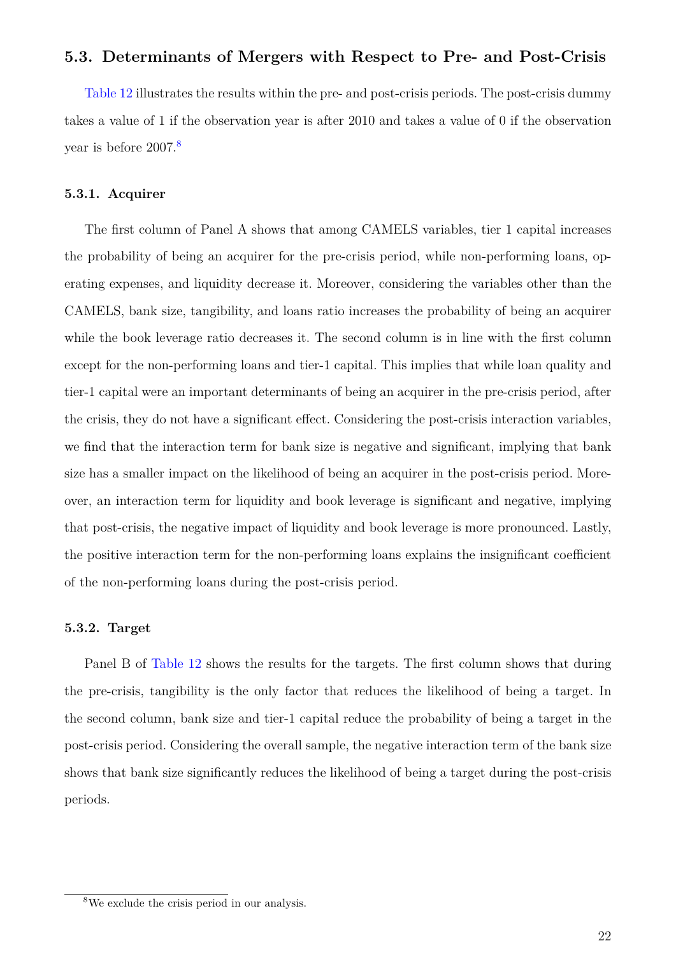## **5.3. Determinants of Mergers with Respect to Pre- and Post-Crisis**

Table 12 illustrates the results within the pre- and post-crisis periods. The post-crisis dummy takes a value of 1 if the observation year is after 2010 and takes a value of 0 if the observation year is before  $2007<sup>8</sup>$ 

#### **5.3.1. Acquirer**

The first column of Panel A shows that among CAMELS variables, tier 1 capital increases the probability of being an acquirer for the pre-crisis period, while non-performing loans, operating expenses, and liquidity decrease it. Moreover, considering the variables other than the CAMELS, bank size, tangibility, and loans ratio increases the probability of being an acquirer while the book leverage ratio decreases it. The second column is in line with the first column except for the non-performing loans and tier-1 capital. This implies that while loan quality and tier-1 capital were an important determinants of being an acquirer in the pre-crisis period, after the crisis, they do not have a significant effect. Considering the post-crisis interaction variables, we find that the interaction term for bank size is negative and significant, implying that bank size has a smaller impact on the likelihood of being an acquirer in the post-crisis period. Moreover, an interaction term for liquidity and book leverage is significant and negative, implying that post-crisis, the negative impact of liquidity and book leverage is more pronounced. Lastly, the positive interaction term for the non-performing loans explains the insignificant coefficient of the non-performing loans during the post-crisis period.

## **5.3.2. Target**

Panel B of Table 12 shows the results for the targets. The first column shows that during the pre-crisis, tangibility is the only factor that reduces the likelihood of being a target. In the second column, bank size and tier-1 capital reduce the probability of being a target in the post-crisis period. Considering the overall sample, the negative interaction term of the bank size shows that bank size significantly reduces the likelihood of being a target during the post-crisis periods.

<sup>8</sup>We exclude the crisis period in our analysis.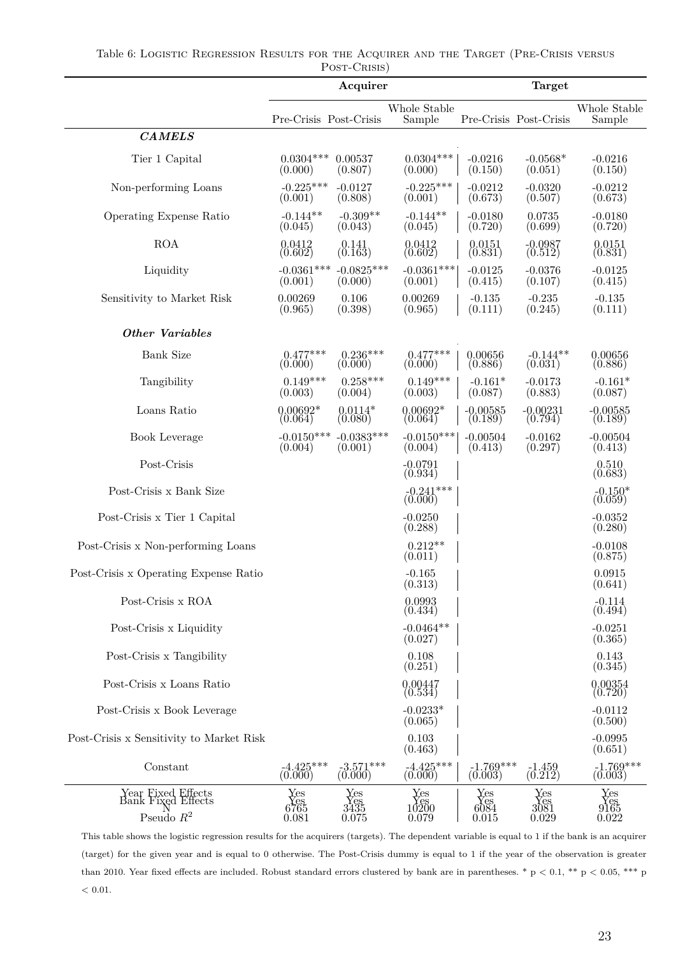|                                                                   |                                                | Acquirer                                                                 |                                                            | <b>Target</b>                                    |                                 |                                     |  |
|-------------------------------------------------------------------|------------------------------------------------|--------------------------------------------------------------------------|------------------------------------------------------------|--------------------------------------------------|---------------------------------|-------------------------------------|--|
|                                                                   | Pre-Crisis Post-Crisis                         |                                                                          | Whole Stable<br>Sample                                     |                                                  | Pre-Crisis Post-Crisis          | Whole Stable<br>Sample              |  |
| <b>CAMELS</b>                                                     |                                                |                                                                          |                                                            |                                                  |                                 |                                     |  |
| Tier 1 Capital                                                    | $0.0304***$<br>(0.000)                         | 0.00537<br>(0.807)                                                       | $0.0304***$<br>(0.000)                                     | $-0.0216$<br>(0.150)                             | $-0.0568*$<br>(0.051)           | $-0.0216$<br>(0.150)                |  |
| Non-performing Loans                                              | $-0.225***$<br>(0.001)                         | $-0.0127$<br>(0.808)                                                     | $-0.225***$<br>(0.001)                                     | $-0.0212$<br>(0.673)                             | $-0.0320$<br>(0.507)            | $-0.0212$<br>(0.673)                |  |
| Operating Expense Ratio                                           | $-0.144**$<br>(0.045)                          | $-0.309**$<br>(0.043)                                                    | $-0.144**$<br>(0.045)                                      | $-0.0180$<br>(0.720)                             | 0.0735<br>(0.699)               | $-0.0180$<br>(0.720)                |  |
| ROA                                                               | $\begin{array}{c} 0.0412 \\ 0.602 \end{array}$ | $\big( \begin{smallmatrix} 0.141 \\[-4pt] 0.163 \end{smallmatrix} \big)$ | $\begin{array}{c} 0.0412 \\ 0.602 \end{array}$             | $\begin{array}{c} 0.0151 \\ (0.831) \end{array}$ | $-0.0987$<br>$(0.512)$          | 0.0151<br>(0.831)                   |  |
| Liquidity                                                         | $-0.0361***$<br>(0.001)                        | $-0.0825***$<br>(0.000)                                                  | $-0.0361***$<br>(0.001)                                    | $-0.0125$<br>(0.415)                             | $-0.0376$<br>(0.107)            | $-0.0125$<br>(0.415)                |  |
| Sensitivity to Market Risk                                        | 0.00269<br>(0.965)                             | 0.106<br>(0.398)                                                         | 0.00269<br>(0.965)                                         | $-0.135$<br>(0.111)                              | $-0.235$<br>(0.245)             | $-0.135$<br>(0.111)                 |  |
| Other Variables                                                   |                                                |                                                                          |                                                            |                                                  |                                 |                                     |  |
| <b>Bank Size</b>                                                  | $0.477***$<br>(0.000)                          | $0.236***$<br>(0.000)                                                    | $0.477***$<br>(0.000)                                      | 0.00656<br>(0.886)                               | $-0.144**$<br>(0.031)           | 0.00656<br>(0.886)                  |  |
| Tangibility                                                       | $0.149***$<br>(0.003)                          | $0.258***$<br>(0.004)                                                    | $0.149***$<br>(0.003)                                      | $-0.161*$<br>(0.087)                             | $-0.0173$<br>(0.883)            | $-0.161*$<br>(0.087)                |  |
| Loans Ratio                                                       | $0.00692*$<br>(0.064)                          | $0.0114*$<br>(0.080)                                                     | $0.00692*$<br>(0.064)                                      | $-0.00585$<br>(0.189)                            | $-0.00231$<br>$(0.794)$         | $-0.00585$<br>(0.189)               |  |
| Book Leverage                                                     | $-0.0150***$<br>(0.004)                        | $-0.0383***$<br>(0.001)                                                  | $-0.0150***$<br>(0.004)                                    | $-0.00504$<br>(0.413)                            | $-0.0162$<br>(0.297)            | $-0.00504$<br>(0.413)               |  |
| Post-Crisis                                                       |                                                |                                                                          | $-0.0791$<br>$(0.934)$                                     |                                                  |                                 | 0.510<br>$(0.\overline{683})$       |  |
| Post-Crisis x Bank Size                                           |                                                |                                                                          | $-0.241***$<br>(0.000)                                     |                                                  |                                 | $-0.150*$<br>(0.059)                |  |
| Post-Crisis x Tier 1 Capital                                      |                                                |                                                                          | $-0.0250$<br>(0.288)                                       |                                                  |                                 | $-0.0352$<br>(0.280)                |  |
| Post-Crisis x Non-performing Loans                                |                                                |                                                                          | $0.212**$<br>(0.011)                                       |                                                  |                                 | $-0.0108$<br>(0.875)                |  |
| Post-Crisis x Operating Expense Ratio                             |                                                |                                                                          | $-0.165$<br>(0.313)                                        |                                                  |                                 | 0.0915<br>(0.641)                   |  |
| Post-Crisis x ROA                                                 |                                                |                                                                          | $\begin{array}{c} 0.0993 \\ 0.434 \end{array}$             |                                                  |                                 | $\left(0.114\atop 0.494\right)$     |  |
| Post-Crisis x Liquidity                                           |                                                |                                                                          | $-0.0464**$<br>(0.027)                                     |                                                  |                                 | $-0.0251$<br>(0.365)                |  |
| Post-Crisis x Tangibility                                         |                                                |                                                                          | 0.108<br>(0.251)                                           |                                                  |                                 | 0.143<br>(0.345)                    |  |
| Post-Crisis x Loans Ratio                                         |                                                |                                                                          | $\begin{array}{c} 0.00447 \\ \textbf{(0.534)} \end{array}$ |                                                  |                                 | 0.00354<br>(0.720)                  |  |
| Post-Crisis x Book Leverage                                       |                                                |                                                                          | $-0.0233*$<br>(0.065)                                      |                                                  |                                 | $-0.0112$<br>(0.500)                |  |
| Post-Crisis x Sensitivity to Market Risk                          |                                                |                                                                          | 0.103<br>(0.463)                                           |                                                  |                                 | $-0.0995$<br>(0.651)                |  |
| Constant                                                          | $-4.425***$<br>(0.000)                         | $-3.571***$<br>(0.000)                                                   | $-4.425***$<br>(0.000)                                     | $-1.769***$<br>(0.003)                           | $-1.459$<br>(0.212)             | $-1.769***$<br>(0.003)              |  |
| Year Fixed Effects<br>Bank Fixed Effects<br>Pseudo $\mathbb{R}^2$ | $Y_{es}$<br>$6765$<br>0.081                    | Yes<br>$\frac{\text{Yes}}{3435}$<br>0.075                                | $Y_{\rm es}$<br>$10200$<br>0.079                           | $\mathop{\mathrm{Yes}}\limits_{6084}$<br>0.015   | $Y_{es}^{s}$<br>$3081$<br>0.029 | $Y_{\text{es}}^{\text{S}}$<br>0.022 |  |

| Table 6: LOGISTIC REGRESSION RESULTS FOR THE ACQUIRER AND THE TARGET (PRE-CRISIS VERSUS |  |  |  |  |  |  |  |  |  |  |  |
|-----------------------------------------------------------------------------------------|--|--|--|--|--|--|--|--|--|--|--|
| POST-CRISIS)                                                                            |  |  |  |  |  |  |  |  |  |  |  |

This table shows the logistic regression results for the acquirers (targets). The dependent variable is equal to 1 if the bank is an acquirer (target) for the given year and is equal to 0 otherwise. The Post-Crisis dummy is equal to 1 if the year of the observation is greater than 2010. Year fixed effects are included. Robust standard errors clustered by bank are in parentheses. \* p < 0.1, \*\* p < 0.05, \*\*\* p  $< 0.01$ .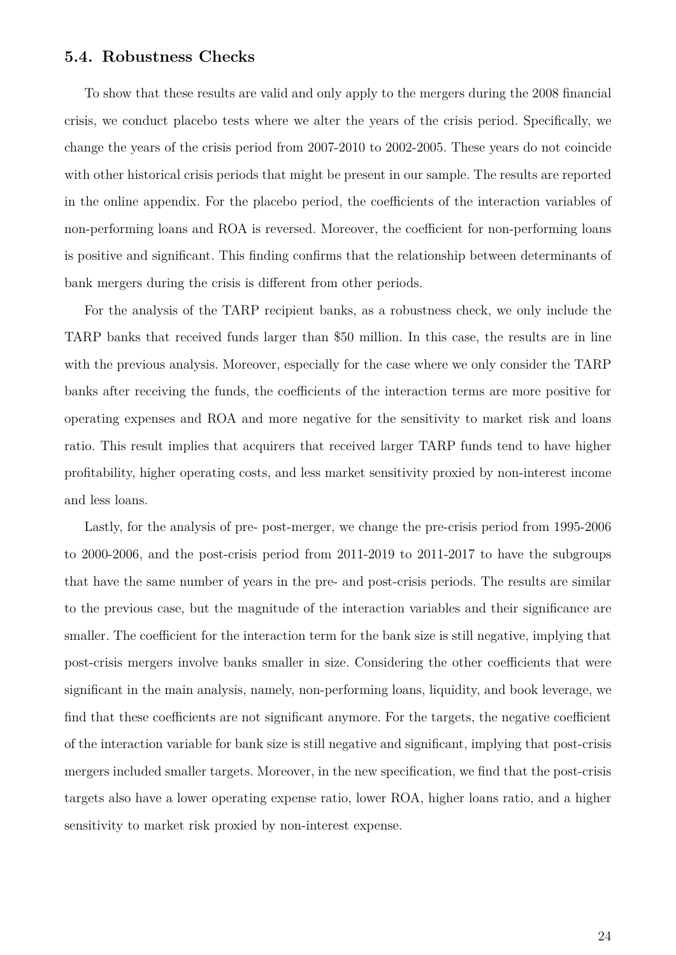## **5.4. Robustness Checks**

To show that these results are valid and only apply to the mergers during the 2008 financial crisis, we conduct placebo tests where we alter the years of the crisis period. Specifically, we change the years of the crisis period from 2007-2010 to 2002-2005. These years do not coincide with other historical crisis periods that might be present in our sample. The results are reported in the online appendix. For the placebo period, the coefficients of the interaction variables of non-performing loans and ROA is reversed. Moreover, the coefficient for non-performing loans is positive and significant. This finding confirms that the relationship between determinants of bank mergers during the crisis is different from other periods.

For the analysis of the TARP recipient banks, as a robustness check, we only include the TARP banks that received funds larger than \$50 million. In this case, the results are in line with the previous analysis. Moreover, especially for the case where we only consider the TARP banks after receiving the funds, the coefficients of the interaction terms are more positive for operating expenses and ROA and more negative for the sensitivity to market risk and loans ratio. This result implies that acquirers that received larger TARP funds tend to have higher profitability, higher operating costs, and less market sensitivity proxied by non-interest income and less loans.

Lastly, for the analysis of pre- post-merger, we change the pre-crisis period from 1995-2006 to 2000-2006, and the post-crisis period from 2011-2019 to 2011-2017 to have the subgroups that have the same number of years in the pre- and post-crisis periods. The results are similar to the previous case, but the magnitude of the interaction variables and their significance are smaller. The coefficient for the interaction term for the bank size is still negative, implying that post-crisis mergers involve banks smaller in size. Considering the other coefficients that were significant in the main analysis, namely, non-performing loans, liquidity, and book leverage, we find that these coefficients are not significant anymore. For the targets, the negative coefficient of the interaction variable for bank size is still negative and significant, implying that post-crisis mergers included smaller targets. Moreover, in the new specification, we find that the post-crisis targets also have a lower operating expense ratio, lower ROA, higher loans ratio, and a higher sensitivity to market risk proxied by non-interest expense.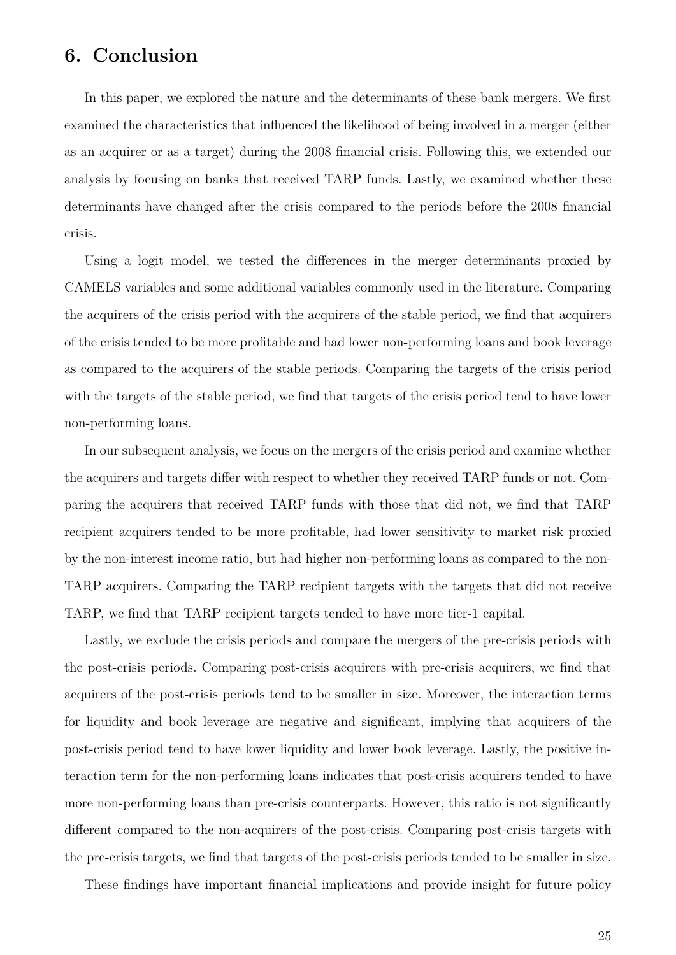## **6. Conclusion**

In this paper, we explored the nature and the determinants of these bank mergers. We first examined the characteristics that influenced the likelihood of being involved in a merger (either as an acquirer or as a target) during the 2008 financial crisis. Following this, we extended our analysis by focusing on banks that received TARP funds. Lastly, we examined whether these determinants have changed after the crisis compared to the periods before the 2008 financial crisis.

Using a logit model, we tested the differences in the merger determinants proxied by CAMELS variables and some additional variables commonly used in the literature. Comparing the acquirers of the crisis period with the acquirers of the stable period, we find that acquirers of the crisis tended to be more profitable and had lower non-performing loans and book leverage as compared to the acquirers of the stable periods. Comparing the targets of the crisis period with the targets of the stable period, we find that targets of the crisis period tend to have lower non-performing loans.

In our subsequent analysis, we focus on the mergers of the crisis period and examine whether the acquirers and targets differ with respect to whether they received TARP funds or not. Comparing the acquirers that received TARP funds with those that did not, we find that TARP recipient acquirers tended to be more profitable, had lower sensitivity to market risk proxied by the non-interest income ratio, but had higher non-performing loans as compared to the non-TARP acquirers. Comparing the TARP recipient targets with the targets that did not receive TARP, we find that TARP recipient targets tended to have more tier-1 capital.

Lastly, we exclude the crisis periods and compare the mergers of the pre-crisis periods with the post-crisis periods. Comparing post-crisis acquirers with pre-crisis acquirers, we find that acquirers of the post-crisis periods tend to be smaller in size. Moreover, the interaction terms for liquidity and book leverage are negative and significant, implying that acquirers of the post-crisis period tend to have lower liquidity and lower book leverage. Lastly, the positive interaction term for the non-performing loans indicates that post-crisis acquirers tended to have more non-performing loans than pre-crisis counterparts. However, this ratio is not significantly different compared to the non-acquirers of the post-crisis. Comparing post-crisis targets with the pre-crisis targets, we find that targets of the post-crisis periods tended to be smaller in size.

These findings have important financial implications and provide insight for future policy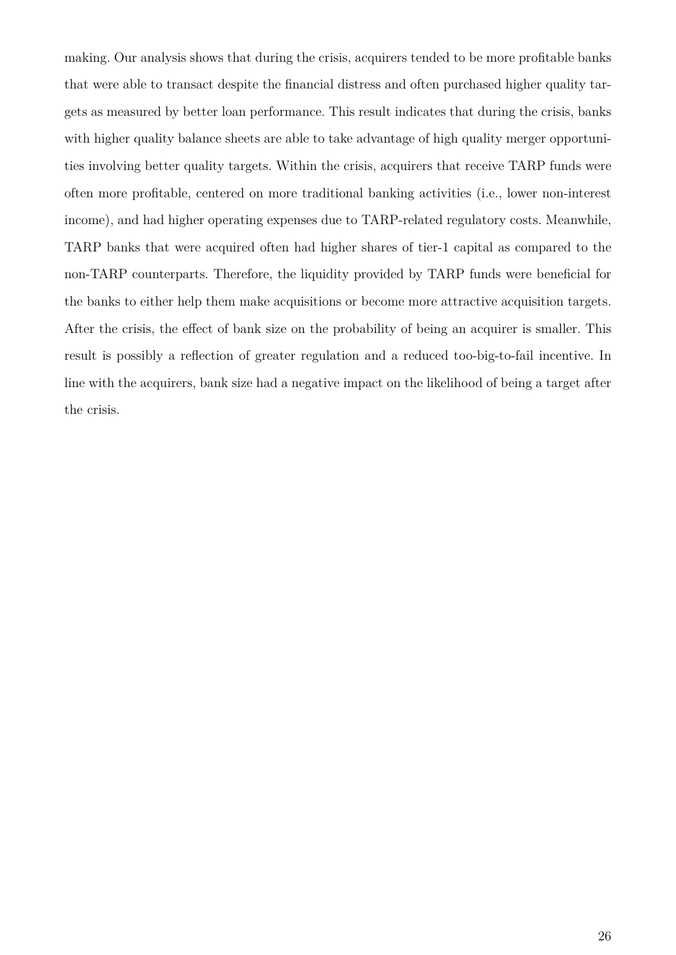making. Our analysis shows that during the crisis, acquirers tended to be more profitable banks that were able to transact despite the financial distress and often purchased higher quality targets as measured by better loan performance. This result indicates that during the crisis, banks with higher quality balance sheets are able to take advantage of high quality merger opportunities involving better quality targets. Within the crisis, acquirers that receive TARP funds were often more profitable, centered on more traditional banking activities (i.e., lower non-interest income), and had higher operating expenses due to TARP-related regulatory costs. Meanwhile, TARP banks that were acquired often had higher shares of tier-1 capital as compared to the non-TARP counterparts. Therefore, the liquidity provided by TARP funds were beneficial for the banks to either help them make acquisitions or become more attractive acquisition targets. After the crisis, the effect of bank size on the probability of being an acquirer is smaller. This result is possibly a reflection of greater regulation and a reduced too-big-to-fail incentive. In line with the acquirers, bank size had a negative impact on the likelihood of being a target after the crisis.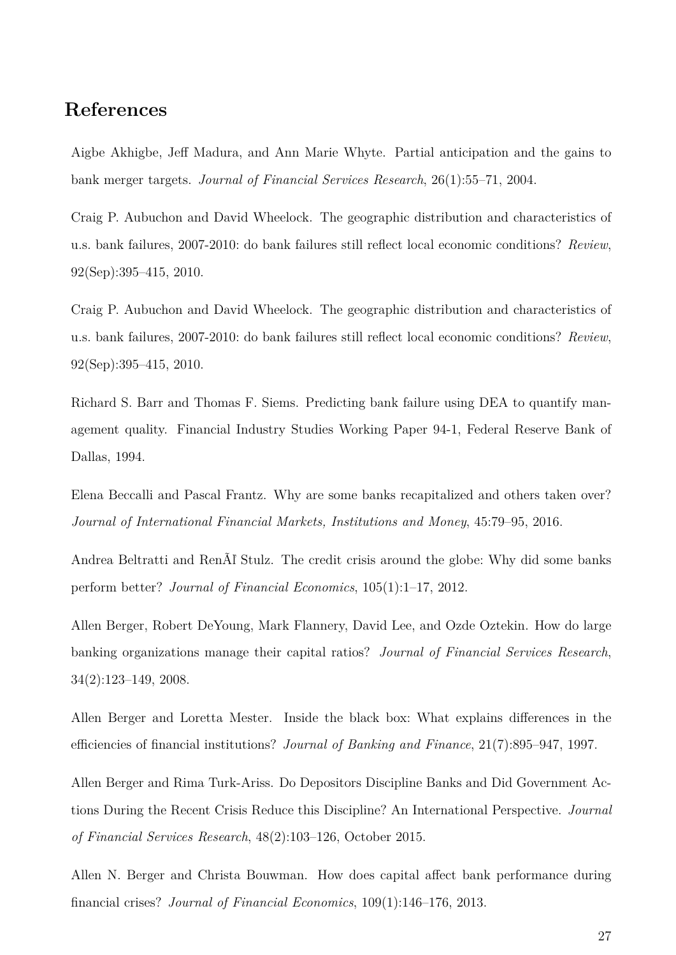# **References**

Aigbe Akhigbe, Jeff Madura, and Ann Marie Whyte. Partial anticipation and the gains to bank merger targets. *Journal of Financial Services Research*, 26(1):55–71, 2004.

Craig P. Aubuchon and David Wheelock. The geographic distribution and characteristics of u.s. bank failures, 2007-2010: do bank failures still reflect local economic conditions? *Review*, 92(Sep):395–415, 2010.

Craig P. Aubuchon and David Wheelock. The geographic distribution and characteristics of u.s. bank failures, 2007-2010: do bank failures still reflect local economic conditions? *Review*, 92(Sep):395–415, 2010.

Richard S. Barr and Thomas F. Siems. Predicting bank failure using DEA to quantify management quality. Financial Industry Studies Working Paper 94-1, Federal Reserve Bank of Dallas, 1994.

Elena Beccalli and Pascal Frantz. Why are some banks recapitalized and others taken over? *Journal of International Financial Markets, Institutions and Money*, 45:79–95, 2016.

Andrea Beltratti and RenÃľ Stulz. The credit crisis around the globe: Why did some banks perform better? *Journal of Financial Economics*, 105(1):1–17, 2012.

Allen Berger, Robert DeYoung, Mark Flannery, David Lee, and Ozde Oztekin. How do large banking organizations manage their capital ratios? *Journal of Financial Services Research*, 34(2):123–149, 2008.

Allen Berger and Loretta Mester. Inside the black box: What explains differences in the efficiencies of financial institutions? *Journal of Banking and Finance*, 21(7):895–947, 1997.

Allen Berger and Rima Turk-Ariss. Do Depositors Discipline Banks and Did Government Actions During the Recent Crisis Reduce this Discipline? An International Perspective. *Journal of Financial Services Research*, 48(2):103–126, October 2015.

Allen N. Berger and Christa Bouwman. How does capital affect bank performance during financial crises? *Journal of Financial Economics*, 109(1):146–176, 2013.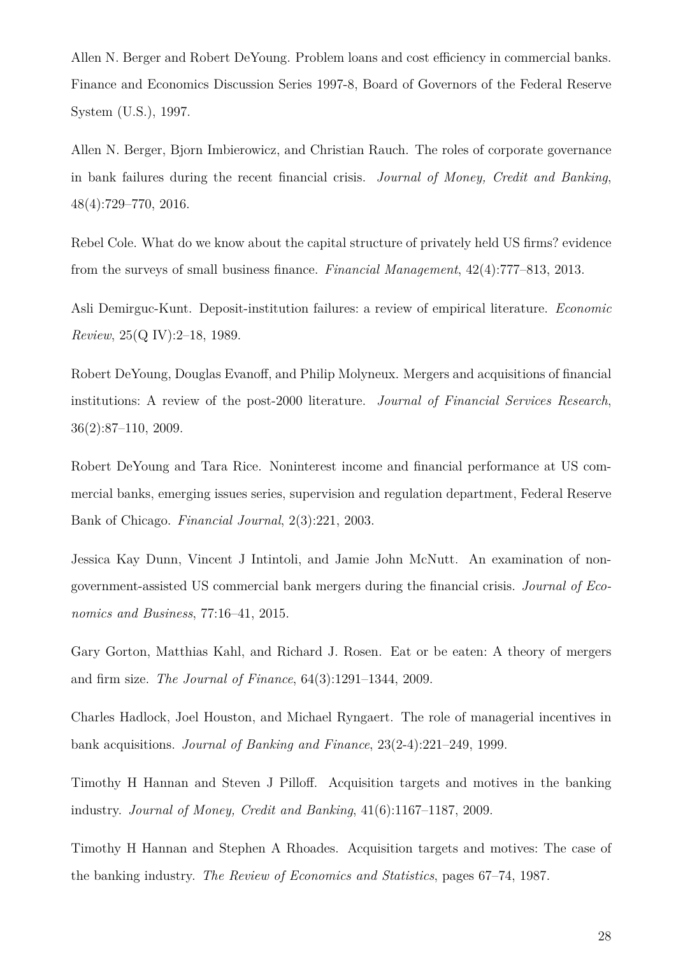Allen N. Berger and Robert DeYoung. Problem loans and cost efficiency in commercial banks. Finance and Economics Discussion Series 1997-8, Board of Governors of the Federal Reserve System (U.S.), 1997.

Allen N. Berger, Bjorn Imbierowicz, and Christian Rauch. The roles of corporate governance in bank failures during the recent financial crisis. *Journal of Money, Credit and Banking*, 48(4):729–770, 2016.

Rebel Cole. What do we know about the capital structure of privately held US firms? evidence from the surveys of small business finance. *Financial Management*, 42(4):777–813, 2013.

Asli Demirguc-Kunt. Deposit-institution failures: a review of empirical literature. *Economic Review*, 25(Q IV):2–18, 1989.

Robert DeYoung, Douglas Evanoff, and Philip Molyneux. Mergers and acquisitions of financial institutions: A review of the post-2000 literature. *Journal of Financial Services Research*, 36(2):87–110, 2009.

Robert DeYoung and Tara Rice. Noninterest income and financial performance at US commercial banks, emerging issues series, supervision and regulation department, Federal Reserve Bank of Chicago. *Financial Journal*, 2(3):221, 2003.

Jessica Kay Dunn, Vincent J Intintoli, and Jamie John McNutt. An examination of nongovernment-assisted US commercial bank mergers during the financial crisis. *Journal of Economics and Business*, 77:16–41, 2015.

Gary Gorton, Matthias Kahl, and Richard J. Rosen. Eat or be eaten: A theory of mergers and firm size. *The Journal of Finance*, 64(3):1291–1344, 2009.

Charles Hadlock, Joel Houston, and Michael Ryngaert. The role of managerial incentives in bank acquisitions. *Journal of Banking and Finance*, 23(2-4):221–249, 1999.

Timothy H Hannan and Steven J Pilloff. Acquisition targets and motives in the banking industry. *Journal of Money, Credit and Banking*, 41(6):1167–1187, 2009.

Timothy H Hannan and Stephen A Rhoades. Acquisition targets and motives: The case of the banking industry. *The Review of Economics and Statistics*, pages 67–74, 1987.